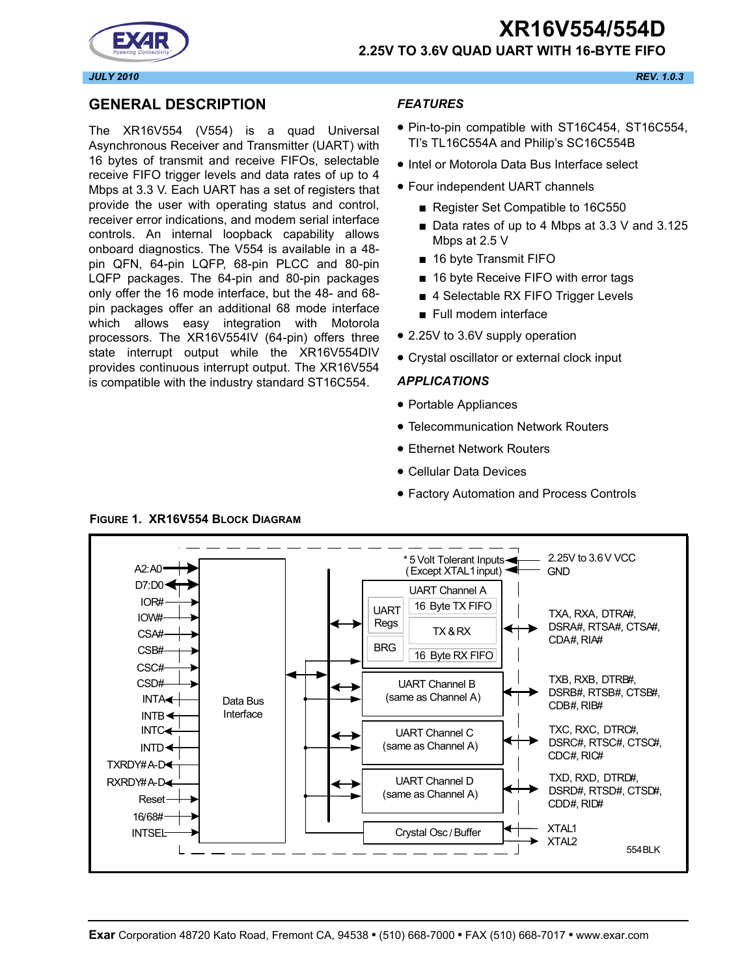## **XR16V554/554D 2.25V TO 3.6V QUAD UART WITH 16-BYTE FIFO**



## **GENERAL DESCRIPTION**

The XR16V554 (V554) is a quad Universal Asynchronous Receiver and Transmitter (UART) with 16 bytes of transmit and receive FIFOs, selectable receive FIFO trigger levels and data rates of up to 4 Mbps at 3.3 V. Each UART has a set of registers that provide the user with operating status and control, receiver error indications, and modem serial interface controls. An internal loopback capability allows onboard diagnostics. The V554 is available in a 48 pin QFN, 64-pin LQFP, 68-pin PLCC and 80-pin LQFP packages. The 64-pin and 80-pin packages only offer the 16 mode interface, but the 48- and 68 pin packages offer an additional 68 mode interface which allows easy integration with Motorola processors. The XR16V554IV (64-pin) offers three state interrupt output while the XR16V554DIV provides continuous interrupt output. The XR16V554 is compatible with the industry standard ST16C554.

#### *FEATURES*

- Pin-to-pin compatible with ST16C454, ST16C554, TI's TL16C554A and Philip's SC16C554B
- Intel or Motorola Data Bus Interface select
- Four independent UART channels
	- Register Set Compatible to 16C550
	- Data rates of up to 4 Mbps at 3.3 V and 3.125 Mbps at 2.5 V
	- 16 byte Transmit FIFO
	- 16 byte Receive FIFO with error tags
	- 4 Selectable RX FIFO Trigger Levels
	- Full modem interface
- 2.25V to 3.6V supply operation
- Crystal oscillator or external clock input

#### *APPLICATIONS*

- Portable Appliances
- Telecommunication Network Routers
- Ethernet Network Routers
- Cellular Data Devices
- Factory Automation and Process Controls



#### **FIGURE 1. XR16V554 BLOCK DIAGRAM**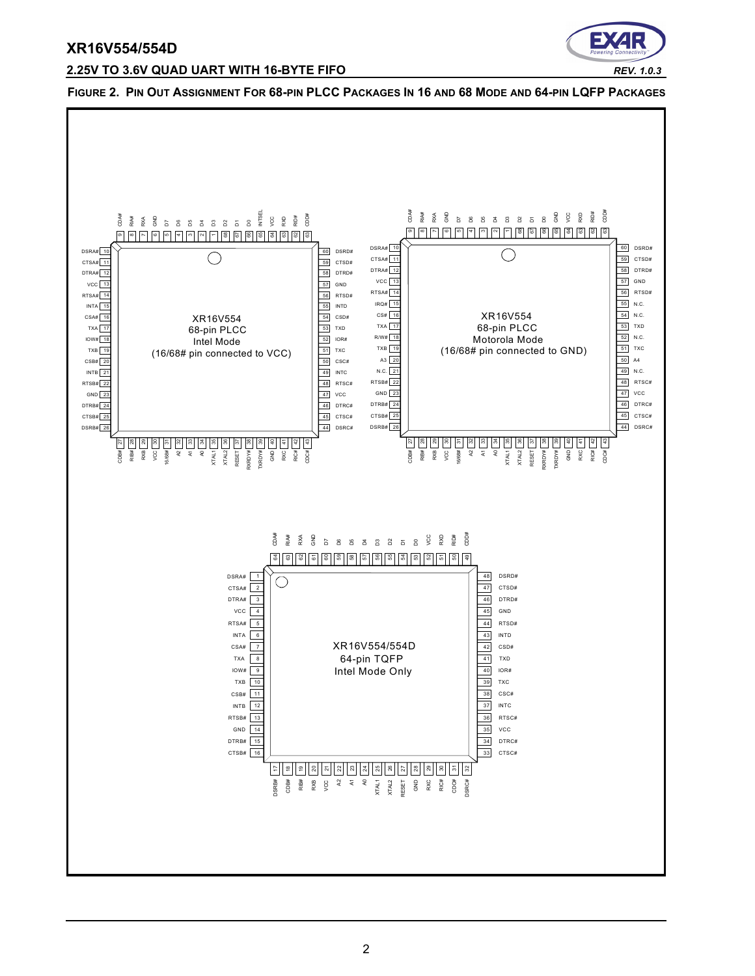

#### **2.25V TO 3.6V QUAD UART WITH 16-BYTE FIFO** *REV. 1.0.3*

**FIGURE 2. PIN OUT ASSIGNMENT FOR 68-PIN PLCC PACKAGES IN 16 AND 68 MODE AND 64-PIN LQFP PACKAGES**

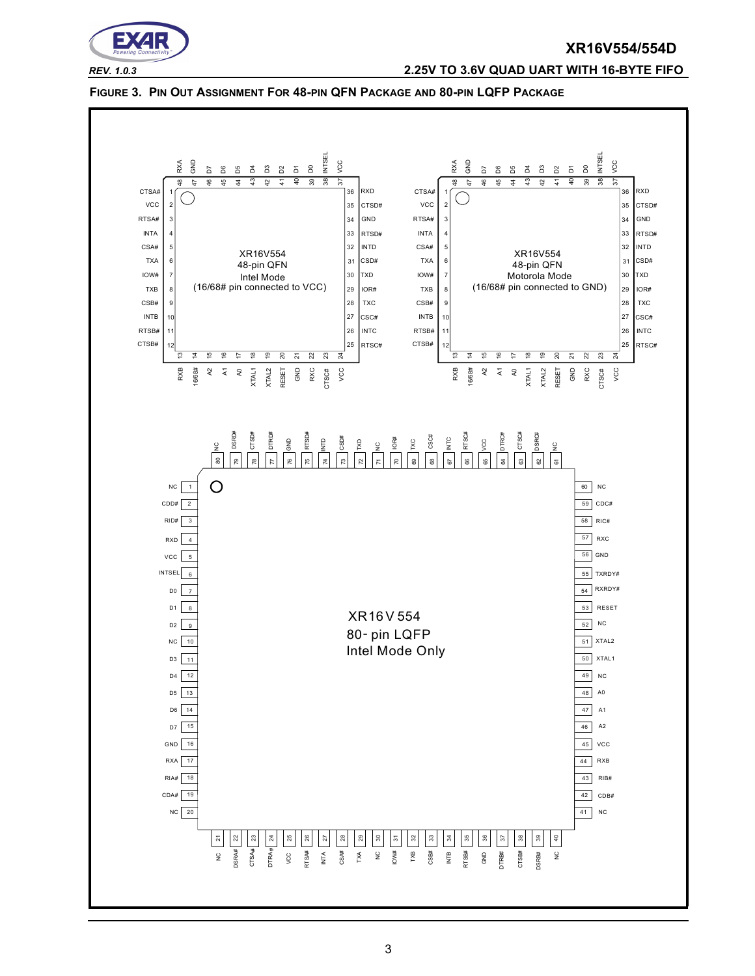

#### *REV. 1.0.3* **2.25V TO 3.6V QUAD UART WITH 16-BYTE FIFO**

#### **FIGURE 3. PIN OUT ASSIGNMENT FOR 48-PIN QFN PACKAGE AND 80-PIN LQFP PACKAGE**

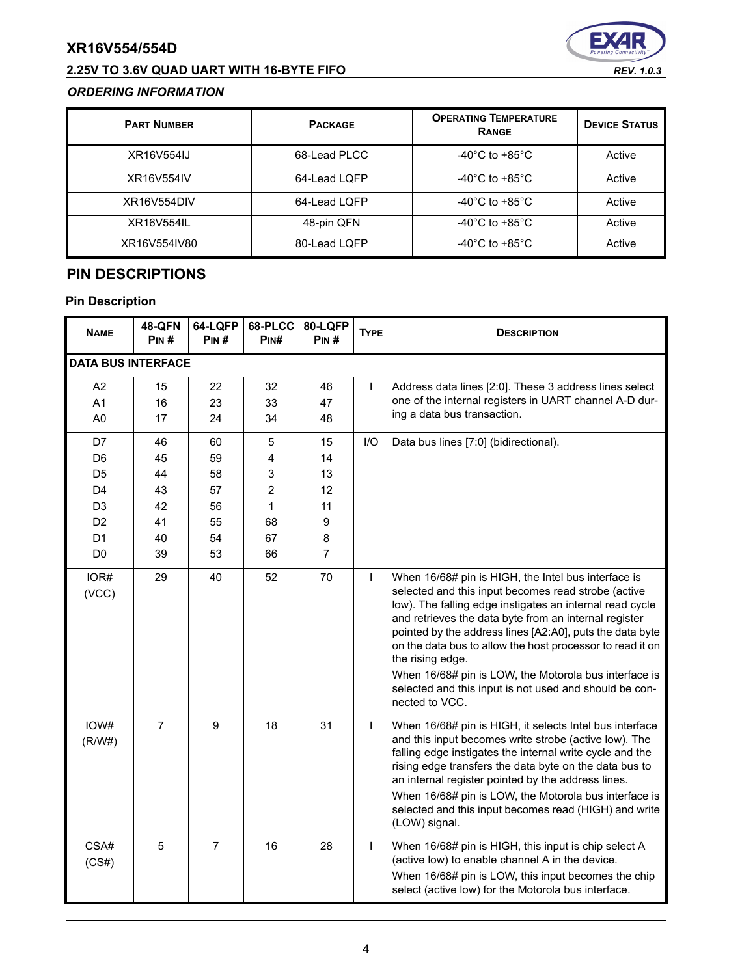## **2.25V TO 3.6V QUAD UART WITH 16-BYTE FIFO** *REV. 1.0.3*



### *ORDERING INFORMATION*

| <b>PART NUMBER</b> | <b>PACKAGE</b> | <b>OPERATING TEMPERATURE</b><br>RANGE | <b>DEVICE STATUS</b> |
|--------------------|----------------|---------------------------------------|----------------------|
| XR16V554IJ         | 68-Lead PLCC   | -40 $^{\circ}$ C to +85 $^{\circ}$ C  | Active               |
| XR16V554IV         | 64-Lead LQFP   | -40 $^{\circ}$ C to +85 $^{\circ}$ C  | Active               |
| XR16V554DIV        | 64-Lead LOFP   | -40 $^{\circ}$ C to +85 $^{\circ}$ C  | Active               |
| XR16V554IL         | 48-pin QFN     | -40 $^{\circ}$ C to +85 $^{\circ}$ C  | Active               |
| XR16V554IV80       | 80-Lead LQFP   | -40 $^{\circ}$ C to +85 $^{\circ}$ C  | Active               |

## **PIN DESCRIPTIONS**

| <b>NAME</b>                                                                            | <b>48-QFN</b><br>PIN#      | 64-LQFP<br>PIN#            | 68-PLCC<br>PIN#                       | 80-LQFP<br>PIN#         | <b>TYPE</b>  | <b>DESCRIPTION</b>                                                                                                                                                                                                                                                                                                                                                                                                                                                                                                |
|----------------------------------------------------------------------------------------|----------------------------|----------------------------|---------------------------------------|-------------------------|--------------|-------------------------------------------------------------------------------------------------------------------------------------------------------------------------------------------------------------------------------------------------------------------------------------------------------------------------------------------------------------------------------------------------------------------------------------------------------------------------------------------------------------------|
| <b>DATA BUS INTERFACE</b>                                                              |                            |                            |                                       |                         |              |                                                                                                                                                                                                                                                                                                                                                                                                                                                                                                                   |
| A2<br>A <sub>1</sub><br>A <sub>0</sub>                                                 | 15<br>16<br>17             | 22<br>23<br>24             | 32<br>33<br>34                        | 46<br>47<br>48          | $\mathbf{I}$ | Address data lines [2:0]. These 3 address lines select<br>one of the internal registers in UART channel A-D dur-<br>ing a data bus transaction.                                                                                                                                                                                                                                                                                                                                                                   |
| D7<br>D <sub>6</sub><br>D <sub>5</sub>                                                 | 46<br>45<br>44             | 60<br>59<br>58             | 5<br>4<br>3                           | 15<br>14<br>13          | I/O          | Data bus lines [7:0] (bidirectional).                                                                                                                                                                                                                                                                                                                                                                                                                                                                             |
| D <sub>4</sub><br>D <sub>3</sub><br>D <sub>2</sub><br>D <sub>1</sub><br>D <sub>0</sub> | 43<br>42<br>41<br>40<br>39 | 57<br>56<br>55<br>54<br>53 | $\overline{2}$<br>1<br>68<br>67<br>66 | 12<br>11<br>9<br>8<br>7 |              |                                                                                                                                                                                                                                                                                                                                                                                                                                                                                                                   |
| IOR#<br>(VCC)                                                                          | 29                         | 40                         | 52                                    | 70                      | $\mathbf{I}$ | When 16/68# pin is HIGH, the Intel bus interface is<br>selected and this input becomes read strobe (active<br>low). The falling edge instigates an internal read cycle<br>and retrieves the data byte from an internal register<br>pointed by the address lines [A2:A0], puts the data byte<br>on the data bus to allow the host processor to read it on<br>the rising edge.<br>When 16/68# pin is LOW, the Motorola bus interface is<br>selected and this input is not used and should be con-<br>nected to VCC. |
| IOW#<br>(R/W#)                                                                         | $\overline{7}$             | 9                          | 18                                    | 31                      | $\mathsf{I}$ | When 16/68# pin is HIGH, it selects Intel bus interface<br>and this input becomes write strobe (active low). The<br>falling edge instigates the internal write cycle and the<br>rising edge transfers the data byte on the data bus to<br>an internal register pointed by the address lines.<br>When 16/68# pin is LOW, the Motorola bus interface is<br>selected and this input becomes read (HIGH) and write<br>(LOW) signal.                                                                                   |
| CSA#<br>(CS#)                                                                          | 5                          | $\overline{7}$             | 16                                    | 28                      | $\mathsf{I}$ | When 16/68# pin is HIGH, this input is chip select A<br>(active low) to enable channel A in the device.<br>When 16/68# pin is LOW, this input becomes the chip<br>select (active low) for the Motorola bus interface.                                                                                                                                                                                                                                                                                             |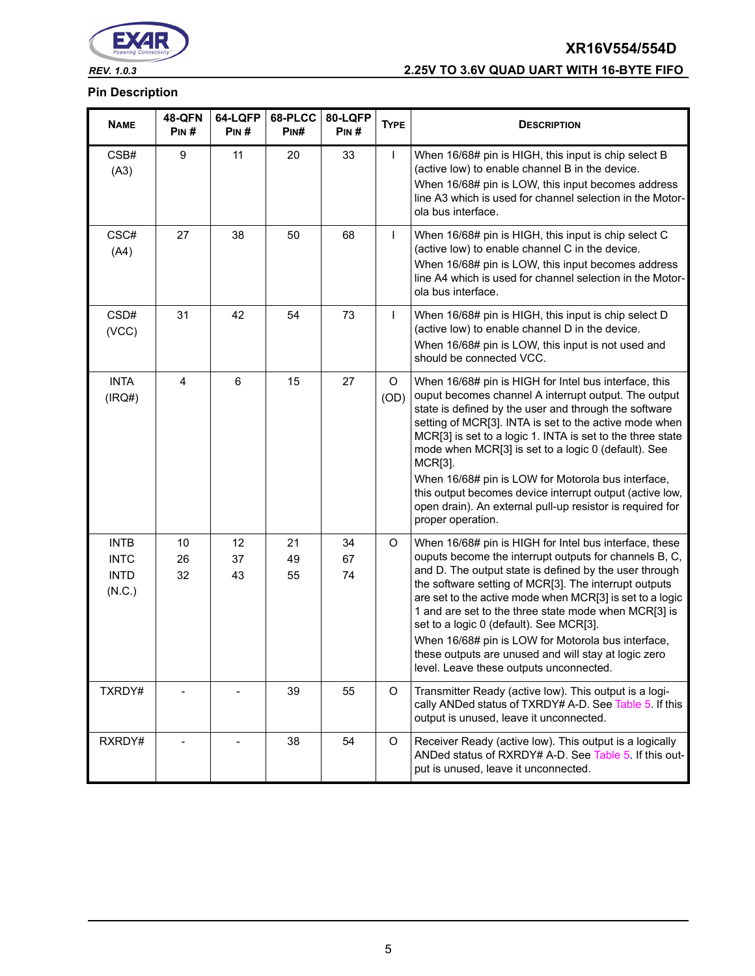

## *REV. 1.0.3* **2.25V TO 3.6V QUAD UART WITH 16-BYTE FIFO**

| <b>NAME</b>                                         | <b>48-QFN</b><br>PIN# | 64-LQFP<br>PIN# | 68-PLCC<br>PINH | 80-LQFP<br>PIN# | <b>TYPE</b>     | <b>DESCRIPTION</b>                                                                                                                                                                                                                                                                                                                                                                                                                                                                                                                                                   |
|-----------------------------------------------------|-----------------------|-----------------|-----------------|-----------------|-----------------|----------------------------------------------------------------------------------------------------------------------------------------------------------------------------------------------------------------------------------------------------------------------------------------------------------------------------------------------------------------------------------------------------------------------------------------------------------------------------------------------------------------------------------------------------------------------|
| CSB#<br>(A3)                                        | 9                     | 11              | 20              | 33              | $\mathbf{I}$    | When 16/68# pin is HIGH, this input is chip select B<br>(active low) to enable channel B in the device.<br>When 16/68# pin is LOW, this input becomes address<br>line A3 which is used for channel selection in the Motor-<br>ola bus interface.                                                                                                                                                                                                                                                                                                                     |
| CSC#<br>(A4)                                        | 27                    | 38              | 50              | 68              | $\mathsf{I}$    | When 16/68# pin is HIGH, this input is chip select C<br>(active low) to enable channel C in the device.<br>When 16/68# pin is LOW, this input becomes address<br>line A4 which is used for channel selection in the Motor-<br>ola bus interface.                                                                                                                                                                                                                                                                                                                     |
| CSD#<br>(VCC)                                       | 31                    | 42              | 54              | 73              | $\mathbf{I}$    | When 16/68# pin is HIGH, this input is chip select D<br>(active low) to enable channel D in the device.<br>When 16/68# pin is LOW, this input is not used and<br>should be connected VCC.                                                                                                                                                                                                                                                                                                                                                                            |
| <b>INTA</b><br>(IRQ#)                               | 4                     | $6\phantom{1}$  | 15              | 27              | $\circ$<br>(OD) | When 16/68# pin is HIGH for Intel bus interface, this<br>ouput becomes channel A interrupt output. The output<br>state is defined by the user and through the software<br>setting of MCR[3]. INTA is set to the active mode when<br>MCR[3] is set to a logic 1. INTA is set to the three state<br>mode when MCR[3] is set to a logic 0 (default). See<br>MCR[3].<br>When 16/68# pin is LOW for Motorola bus interface,<br>this output becomes device interrupt output (active low,<br>open drain). An external pull-up resistor is required for<br>proper operation. |
| <b>INTB</b><br><b>INTC</b><br><b>INTD</b><br>(N.C.) | 10<br>26<br>32        | 12<br>37<br>43  | 21<br>49<br>55  | 34<br>67<br>74  | $\circ$         | When 16/68# pin is HIGH for Intel bus interface, these<br>ouputs become the interrupt outputs for channels B, C,<br>and D. The output state is defined by the user through<br>the software setting of MCR[3]. The interrupt outputs<br>are set to the active mode when MCR[3] is set to a logic<br>1 and are set to the three state mode when MCR[3] is<br>set to a logic 0 (default). See MCR[3].<br>When 16/68# pin is LOW for Motorola bus interface,<br>these outputs are unused and will stay at logic zero<br>level. Leave these outputs unconnected.          |
| TXRDY#                                              |                       |                 | 39              | 55              | $\circ$         | Transmitter Ready (active low). This output is a logi-<br>cally ANDed status of TXRDY# A-D. See Table 5. If this<br>output is unused, leave it unconnected.                                                                                                                                                                                                                                                                                                                                                                                                          |
| RXRDY#                                              |                       |                 | 38              | 54              | O               | Receiver Ready (active low). This output is a logically<br>ANDed status of RXRDY# A-D. See Table 5. If this out-<br>put is unused, leave it unconnected.                                                                                                                                                                                                                                                                                                                                                                                                             |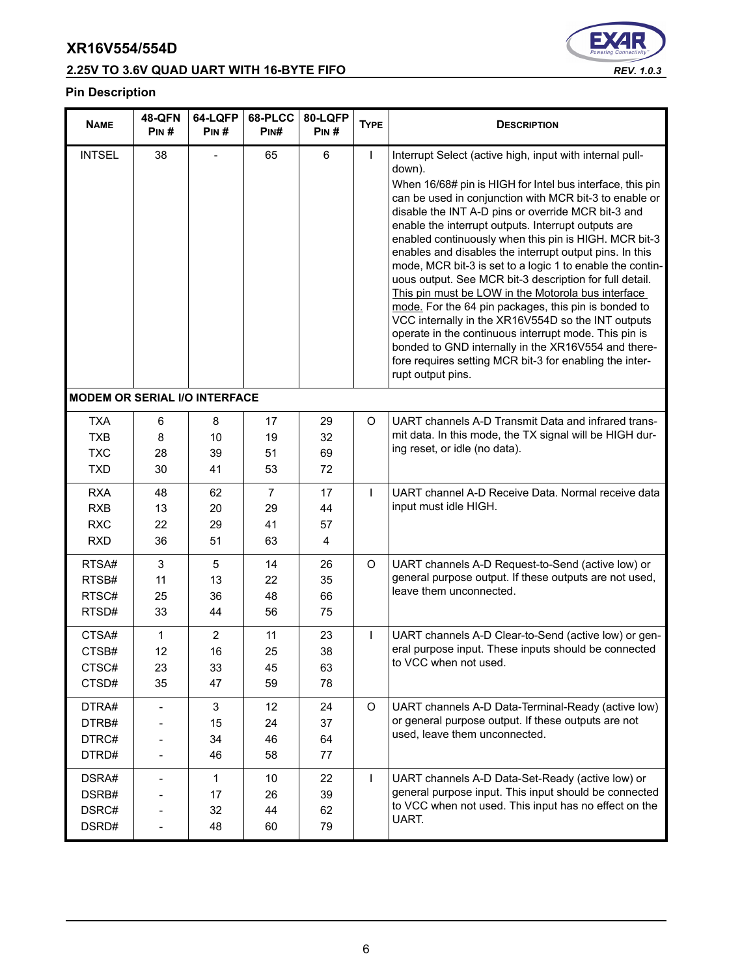## **2.25V TO 3.6V QUAD UART WITH 16-BYTE FIFO** *REV. 1.0.3*



| <b>NAME</b>                                          | <b>48-QFN</b><br>PIN#    | 64-LQFP<br>PIN#                  | 68-PLCC<br>PINH                  | 80-LQFP<br>PIN#      | <b>TYPE</b>  | <b>DESCRIPTION</b>                                                                                                                                                                                                                                                                                                                                                                                                                                                                                                                                                                                                                                                                                                                                                                                                                                                                                                     |
|------------------------------------------------------|--------------------------|----------------------------------|----------------------------------|----------------------|--------------|------------------------------------------------------------------------------------------------------------------------------------------------------------------------------------------------------------------------------------------------------------------------------------------------------------------------------------------------------------------------------------------------------------------------------------------------------------------------------------------------------------------------------------------------------------------------------------------------------------------------------------------------------------------------------------------------------------------------------------------------------------------------------------------------------------------------------------------------------------------------------------------------------------------------|
| <b>INTSEL</b>                                        | 38                       |                                  | 65                               | 6                    | $\mathsf{I}$ | Interrupt Select (active high, input with internal pull-<br>down).<br>When 16/68# pin is HIGH for Intel bus interface, this pin<br>can be used in conjunction with MCR bit-3 to enable or<br>disable the INT A-D pins or override MCR bit-3 and<br>enable the interrupt outputs. Interrupt outputs are<br>enabled continuously when this pin is HIGH. MCR bit-3<br>enables and disables the interrupt output pins. In this<br>mode, MCR bit-3 is set to a logic 1 to enable the contin-<br>uous output. See MCR bit-3 description for full detail.<br>This pin must be LOW in the Motorola bus interface<br>mode. For the 64 pin packages, this pin is bonded to<br>VCC internally in the XR16V554D so the INT outputs<br>operate in the continuous interrupt mode. This pin is<br>bonded to GND internally in the XR16V554 and there-<br>fore requires setting MCR bit-3 for enabling the inter-<br>rupt output pins. |
| <b>MODEM OR SERIAL I/O INTERFACE</b>                 |                          |                                  |                                  |                      |              |                                                                                                                                                                                                                                                                                                                                                                                                                                                                                                                                                                                                                                                                                                                                                                                                                                                                                                                        |
| <b>TXA</b><br><b>TXB</b><br><b>TXC</b><br><b>TXD</b> | 6<br>8<br>28<br>30       | 8<br>10<br>39<br>41              | 17<br>19<br>51<br>53             | 29<br>32<br>69<br>72 | O            | UART channels A-D Transmit Data and infrared trans-<br>mit data. In this mode, the TX signal will be HIGH dur-<br>ing reset, or idle (no data).                                                                                                                                                                                                                                                                                                                                                                                                                                                                                                                                                                                                                                                                                                                                                                        |
| <b>RXA</b><br><b>RXB</b><br><b>RXC</b><br><b>RXD</b> | 48<br>13<br>22<br>36     | 62<br>20<br>29<br>51             | $\overline{7}$<br>29<br>41<br>63 | 17<br>44<br>57<br>4  | $\mathsf{L}$ | UART channel A-D Receive Data. Normal receive data<br>input must idle HIGH.                                                                                                                                                                                                                                                                                                                                                                                                                                                                                                                                                                                                                                                                                                                                                                                                                                            |
| RTSA#<br>RTSB#<br>RTSC#<br>RTSD#                     | 3<br>11<br>25<br>33      | 5<br>13<br>36<br>44              | 14<br>22<br>48<br>56             | 26<br>35<br>66<br>75 | O            | UART channels A-D Request-to-Send (active low) or<br>general purpose output. If these outputs are not used,<br>leave them unconnected.                                                                                                                                                                                                                                                                                                                                                                                                                                                                                                                                                                                                                                                                                                                                                                                 |
| CTSA#<br>CTSB#<br>CTSC#<br>CTSD#                     | 1<br>12<br>23<br>35      | $\overline{2}$<br>16<br>33<br>47 | 11<br>25<br>45<br>59             | 23<br>38<br>63<br>78 | $\mathsf{I}$ | UART channels A-D Clear-to-Send (active low) or gen-<br>eral purpose input. These inputs should be connected<br>to VCC when not used.                                                                                                                                                                                                                                                                                                                                                                                                                                                                                                                                                                                                                                                                                                                                                                                  |
| DTRA#<br>DTRB#<br>DTRC#<br>DTRD#                     |                          | 3<br>15<br>34<br>46              | 12<br>24<br>46<br>58             | 24<br>37<br>64<br>77 | O            | UART channels A-D Data-Terminal-Ready (active low)<br>or general purpose output. If these outputs are not<br>used, leave them unconnected.                                                                                                                                                                                                                                                                                                                                                                                                                                                                                                                                                                                                                                                                                                                                                                             |
| DSRA#<br>DSRB#<br>DSRC#<br>DSRD#                     | $\overline{\phantom{a}}$ | $\mathbf{1}$<br>17<br>32<br>48   | 10<br>26<br>44<br>60             | 22<br>39<br>62<br>79 | $\mathsf{L}$ | UART channels A-D Data-Set-Ready (active low) or<br>general purpose input. This input should be connected<br>to VCC when not used. This input has no effect on the<br>UART.                                                                                                                                                                                                                                                                                                                                                                                                                                                                                                                                                                                                                                                                                                                                            |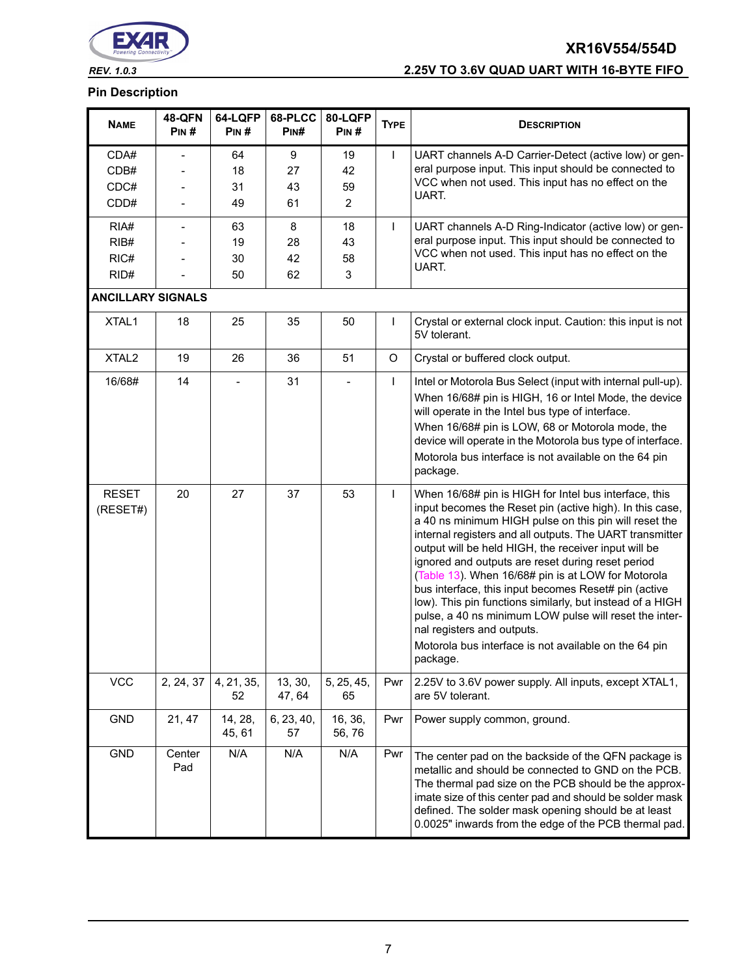

## *REV. 1.0.3* **2.25V TO 3.6V QUAD UART WITH 16-BYTE FIFO**

| <b>NAME</b>                  | <b>48-QFN</b><br>PIN#    | 64-LQFP<br>PIN#      | 68-PLCC<br>PINH     | 80-LQFP<br>PIN#                  | <b>TYPE</b>  | <b>DESCRIPTION</b>                                                                                                                                                                                                                                                                                                                                                                                                                                                                                                                                                                                                                                                                          |  |  |
|------------------------------|--------------------------|----------------------|---------------------|----------------------------------|--------------|---------------------------------------------------------------------------------------------------------------------------------------------------------------------------------------------------------------------------------------------------------------------------------------------------------------------------------------------------------------------------------------------------------------------------------------------------------------------------------------------------------------------------------------------------------------------------------------------------------------------------------------------------------------------------------------------|--|--|
| CDA#<br>CDB#<br>CDC#<br>CDD# |                          | 64<br>18<br>31<br>49 | 9<br>27<br>43<br>61 | 19<br>42<br>59<br>$\overline{2}$ | $\mathsf{I}$ | UART channels A-D Carrier-Detect (active low) or gen-<br>eral purpose input. This input should be connected to<br>VCC when not used. This input has no effect on the<br>UART.                                                                                                                                                                                                                                                                                                                                                                                                                                                                                                               |  |  |
| RIA#<br>RIB#<br>RIC#<br>RID# |                          | 63<br>19<br>30<br>50 | 8<br>28<br>42<br>62 | 18<br>43<br>58<br>3              | $\mathbf{I}$ | UART channels A-D Ring-Indicator (active low) or gen-<br>eral purpose input. This input should be connected to<br>VCC when not used. This input has no effect on the<br>UART.                                                                                                                                                                                                                                                                                                                                                                                                                                                                                                               |  |  |
|                              | <b>ANCILLARY SIGNALS</b> |                      |                     |                                  |              |                                                                                                                                                                                                                                                                                                                                                                                                                                                                                                                                                                                                                                                                                             |  |  |
| XTAL1                        | 18                       | 25                   | 35                  | 50                               | $\mathsf{I}$ | Crystal or external clock input. Caution: this input is not<br>5V tolerant.                                                                                                                                                                                                                                                                                                                                                                                                                                                                                                                                                                                                                 |  |  |
| XTAL <sub>2</sub>            | 19                       | 26                   | 36                  | 51                               | O            | Crystal or buffered clock output.                                                                                                                                                                                                                                                                                                                                                                                                                                                                                                                                                                                                                                                           |  |  |
| 16/68#                       | 14                       | $\blacksquare$       | 31                  | $\overline{\phantom{a}}$         | $\mathbf{I}$ | Intel or Motorola Bus Select (input with internal pull-up).<br>When 16/68# pin is HIGH, 16 or Intel Mode, the device<br>will operate in the Intel bus type of interface.<br>When 16/68# pin is LOW, 68 or Motorola mode, the<br>device will operate in the Motorola bus type of interface.<br>Motorola bus interface is not available on the 64 pin<br>package.                                                                                                                                                                                                                                                                                                                             |  |  |
| <b>RESET</b><br>(RESET#)     | 20                       | 27                   | 37                  | 53                               | $\mathsf{I}$ | When 16/68# pin is HIGH for Intel bus interface, this<br>input becomes the Reset pin (active high). In this case,<br>a 40 ns minimum HIGH pulse on this pin will reset the<br>internal registers and all outputs. The UART transmitter<br>output will be held HIGH, the receiver input will be<br>ignored and outputs are reset during reset period<br>(Table 13). When 16/68# pin is at LOW for Motorola<br>bus interface, this input becomes Reset# pin (active<br>low). This pin functions similarly, but instead of a HIGH<br>pulse, a 40 ns minimum LOW pulse will reset the inter-<br>nal registers and outputs.<br>Motorola bus interface is not available on the 64 pin<br>package. |  |  |
| <b>VCC</b>                   | 2, 24, 37                | 4, 21, 35,<br>52     | 13, 30,<br>47, 64   | 5, 25, 45,<br>65                 | Pwr          | 2.25V to 3.6V power supply. All inputs, except XTAL1,<br>are 5V tolerant.                                                                                                                                                                                                                                                                                                                                                                                                                                                                                                                                                                                                                   |  |  |
| <b>GND</b>                   | 21, 47                   | 14, 28,<br>45, 61    | 6, 23, 40,<br>57    | 16, 36,<br>56,76                 | Pwr          | Power supply common, ground.                                                                                                                                                                                                                                                                                                                                                                                                                                                                                                                                                                                                                                                                |  |  |
| <b>GND</b>                   | Center<br>Pad            | N/A                  | N/A                 | N/A                              | Pwr          | The center pad on the backside of the QFN package is<br>metallic and should be connected to GND on the PCB.<br>The thermal pad size on the PCB should be the approx-<br>imate size of this center pad and should be solder mask<br>defined. The solder mask opening should be at least<br>0.0025" inwards from the edge of the PCB thermal pad.                                                                                                                                                                                                                                                                                                                                             |  |  |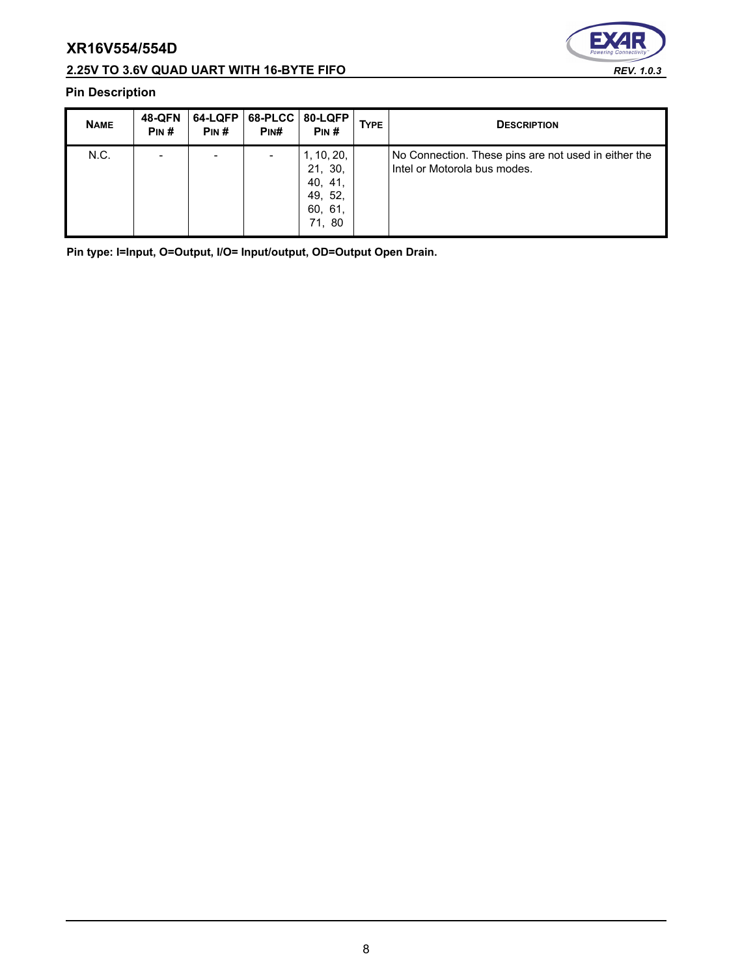## **2.25V TO 3.6V QUAD UART WITH 16-BYTE FIFO** *REV. 1.0.3*



## **Pin Description**

| <b>NAME</b> | <b>48-QFN</b><br>PIN# | 64-LQFP<br>PIN# | 68-PLCC   80-LQFP<br>PINH | PIN#                                                             | <b>TYPE</b> | <b>DESCRIPTION</b>                                                                   |
|-------------|-----------------------|-----------------|---------------------------|------------------------------------------------------------------|-------------|--------------------------------------------------------------------------------------|
| N.C.        |                       |                 |                           | 1, 10, 20,<br>21, 30,<br>40, 41,<br>49, 52,<br>60, 61,<br>71, 80 |             | No Connection. These pins are not used in either the<br>Intel or Motorola bus modes. |

**Pin type: I=Input, O=Output, I/O= Input/output, OD=Output Open Drain.**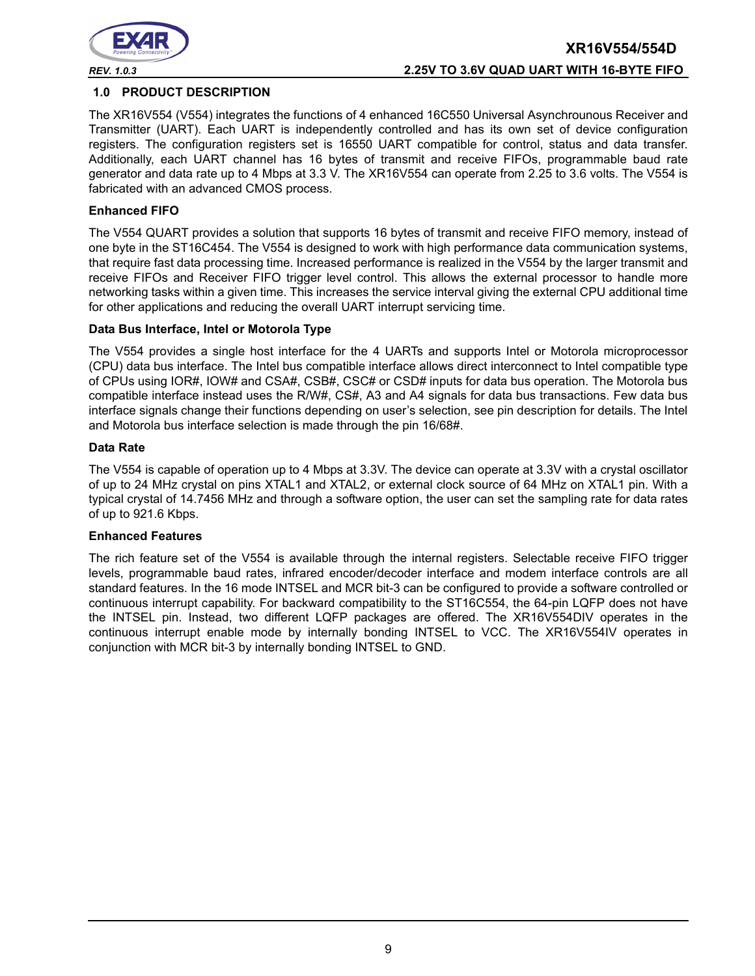

## **XR16V554/554D** *REV. 1.0.3* **2.25V TO 3.6V QUAD UART WITH 16-BYTE FIFO**

#### **1.0 PRODUCT DESCRIPTION**

The XR16V554 (V554) integrates the functions of 4 enhanced 16C550 Universal Asynchrounous Receiver and Transmitter (UART). Each UART is independently controlled and has its own set of device configuration registers. The configuration registers set is 16550 UART compatible for control, status and data transfer. Additionally, each UART channel has 16 bytes of transmit and receive FIFOs, programmable baud rate generator and data rate up to 4 Mbps at 3.3 V. The XR16V554 can operate from 2.25 to 3.6 volts. The V554 is fabricated with an advanced CMOS process.

#### **Enhanced FIFO**

The V554 QUART provides a solution that supports 16 bytes of transmit and receive FIFO memory, instead of one byte in the ST16C454. The V554 is designed to work with high performance data communication systems, that require fast data processing time. Increased performance is realized in the V554 by the larger transmit and receive FIFOs and Receiver FIFO trigger level control. This allows the external processor to handle more networking tasks within a given time. This increases the service interval giving the external CPU additional time for other applications and reducing the overall UART interrupt servicing time.

#### **Data Bus Interface, Intel or Motorola Type**

The V554 provides a single host interface for the 4 UARTs and supports Intel or Motorola microprocessor (CPU) data bus interface. The Intel bus compatible interface allows direct interconnect to Intel compatible type of CPUs using IOR#, IOW# and CSA#, CSB#, CSC# or CSD# inputs for data bus operation. The Motorola bus compatible interface instead uses the R/W#, CS#, A3 and A4 signals for data bus transactions. Few data bus interface signals change their functions depending on user's selection, see pin description for details. The Intel and Motorola bus interface selection is made through the pin 16/68#.

#### **Data Rate**

The V554 is capable of operation up to 4 Mbps at 3.3V. The device can operate at 3.3V with a crystal oscillator of up to 24 MHz crystal on pins XTAL1 and XTAL2, or external clock source of 64 MHz on XTAL1 pin. With a typical crystal of 14.7456 MHz and through a software option, the user can set the sampling rate for data rates of up to 921.6 Kbps.

#### **Enhanced Features**

The rich feature set of the V554 is available through the internal registers. Selectable receive FIFO trigger levels, programmable baud rates, infrared encoder/decoder interface and modem interface controls are all standard features. In the 16 mode INTSEL and MCR bit-3 can be configured to provide a software controlled or continuous interrupt capability. For backward compatibility to the ST16C554, the 64-pin LQFP does not have the INTSEL pin. Instead, two different LQFP packages are offered. The XR16V554DIV operates in the continuous interrupt enable mode by internally bonding INTSEL to VCC. The XR16V554IV operates in conjunction with MCR bit-3 by internally bonding INTSEL to GND.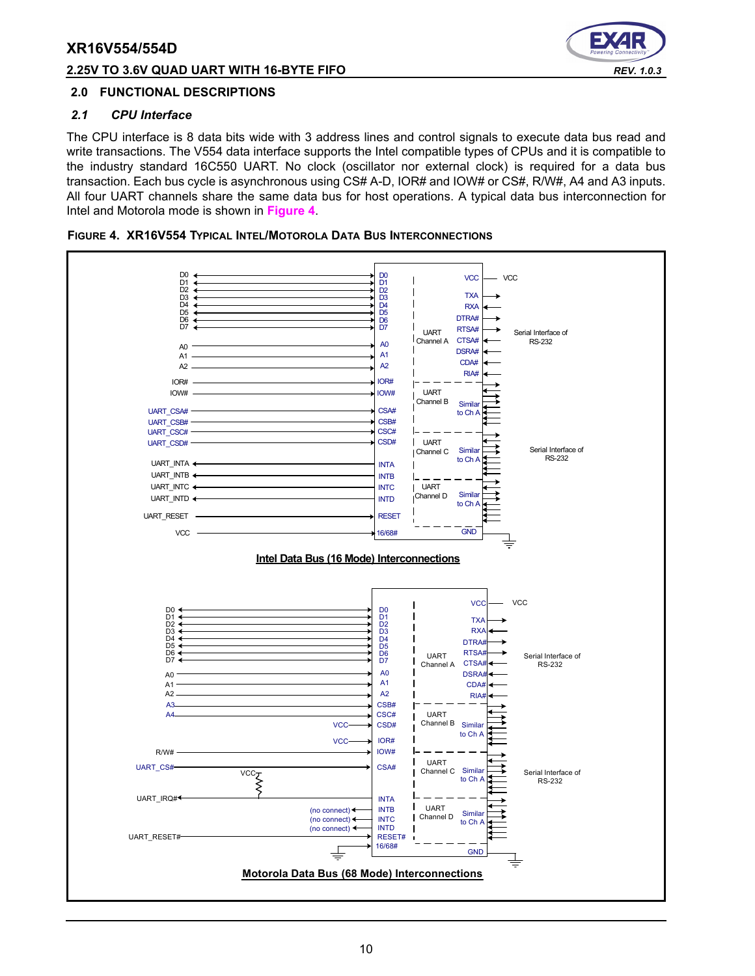#### **2.25V TO 3.6V QUAD UART WITH 16-BYTE FIFO** *REV. 1.0.3*



#### **2.0 FUNCTIONAL DESCRIPTIONS**

#### *2.1 CPU Interface*

The CPU interface is 8 data bits wide with 3 address lines and control signals to execute data bus read and write transactions. The V554 data interface supports the Intel compatible types of CPUs and it is compatible to the industry standard 16C550 UART. No clock (oscillator nor external clock) is required for a data bus transaction. Each bus cycle is asynchronous using CS# A-D, IOR# and IOW# or CS#, R/W#, A4 and A3 inputs. All four UART channels share the same data bus for host operations. A typical data bus interconnection for Intel and Motorola mode is shown in **[Figure](#page-9-0) 4**.

<span id="page-9-0"></span>

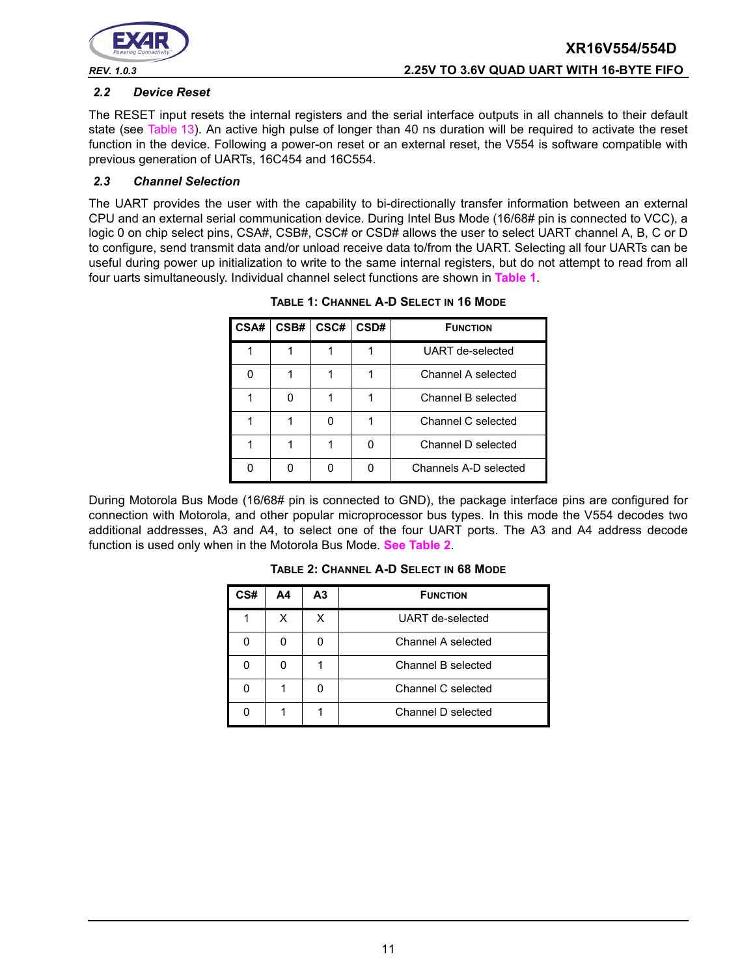

#### *2.2 Device Reset*

The RESET input resets the internal registers and the serial interface outputs in all channels to their default state (see [Table](#page-28-0) 13). An active high pulse of longer than 40 ns duration will be required to activate the reset function in the device. Following a power-on reset or an external reset, the V554 is software compatible with previous generation of UARTs, 16C454 and 16C554.

#### *2.3 Channel Selection*

<span id="page-10-0"></span>The UART provides the user with the capability to bi-directionally transfer information between an external CPU and an external serial communication device. During Intel Bus Mode (16/68# pin is connected to VCC), a logic 0 on chip select pins, CSA#, CSB#, CSC# or CSD# allows the user to select UART channel A, B, C or D to configure, send transmit data and/or unload receive data to/from the UART. Selecting all four UARTs can be useful during power up initialization to write to the same internal registers, but do not attempt to read from all four uarts simultaneously. Individual channel select functions are shown in **[Table](#page-10-0) 1**.

| CSA# | CSB# | CSC# | CSD# | <b>FUNCTION</b>       |
|------|------|------|------|-----------------------|
|      |      |      |      | UART de-selected      |
|      |      |      |      | Channel A selected    |
|      |      |      |      | Channel B selected    |
|      |      |      |      | Channel C selected    |
|      |      |      |      | Channel D selected    |
|      |      |      |      | Channels A-D selected |

**TABLE 1: CHANNEL A-D SELECT IN 16 MODE**

<span id="page-10-1"></span>During Motorola Bus Mode (16/68# pin is connected to GND), the package interface pins are configured for connection with Motorola, and other popular microprocessor bus types. In this mode the V554 decodes two additional addresses, A3 and A4, to select one of the four UART ports. The A3 and A4 address decode function is used only when in the Motorola Bus Mode. **[See Table](#page-10-1) 2**.

| TABLE 2: CHANNEL A-D SELECT IN 68 MODE |           |                 |  |  |
|----------------------------------------|-----------|-----------------|--|--|
| A4                                     | <b>A3</b> | <b>FUNCTION</b> |  |  |

| CS# | Α4 | A <sub>3</sub> | <b>FUNCTION</b>    |  |
|-----|----|----------------|--------------------|--|
|     | x  | х              | UART de-selected   |  |
|     |    |                | Channel A selected |  |
|     |    |                | Channel B selected |  |
|     |    |                | Channel C selected |  |
|     |    |                | Channel D selected |  |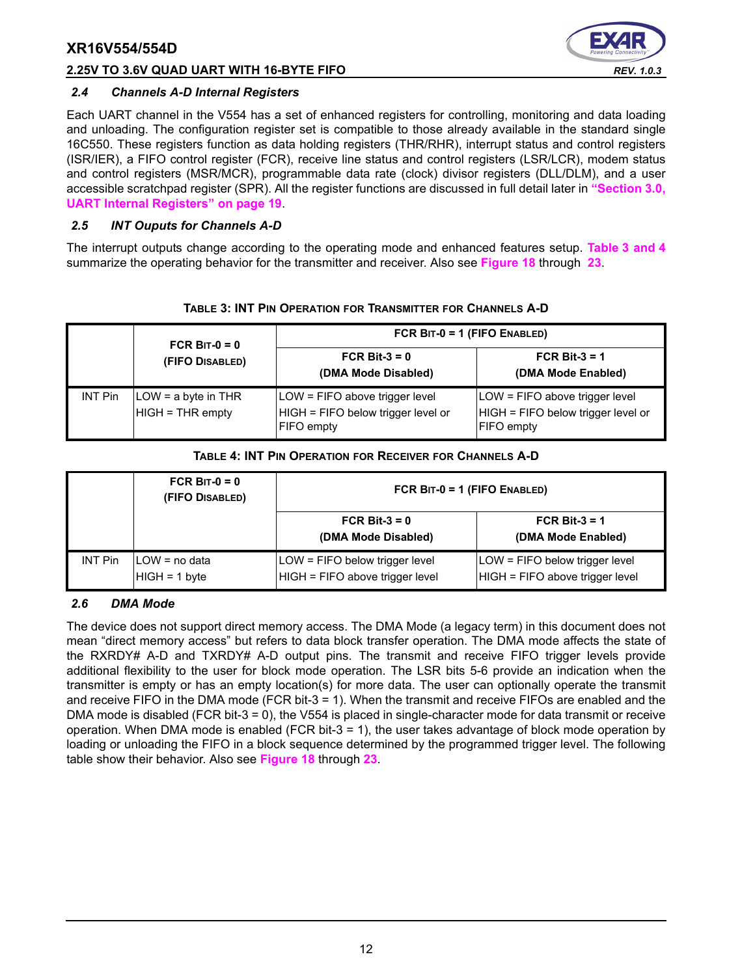#### **2.25V TO 3.6V QUAD UART WITH 16-BYTE FIFO** *REV. 1.0.3*



#### *2.4 Channels A-D Internal Registers*

Each UART channel in the V554 has a set of enhanced registers for controlling, monitoring and data loading and unloading. The configuration register set is compatible to those already available in the standard single 16C550. These registers function as data holding registers (THR/RHR), interrupt status and control registers (ISR/IER), a FIFO control register (FCR), receive line status and control registers (LSR/LCR), modem status and control registers (MSR/MCR), programmable data rate (clock) divisor registers (DLL/DLM), and a user accessible scratchpad register (SPR). All the register functions are discussed in full detail later in **["Section 3.0,](#page-18-0) [UART Internal Registers" on page](#page-18-0) 19**.

### *2.5 INT Ouputs for Channels A-D*

The interrupt outputs change according to the operating mode and enhanced features setup. **[Table](#page-11-0) 3 [and](#page-11-1) 4** summarize the operating behavior for the transmitter and receiver. Also see **[Figure](#page-34-0) 18** through **[23](#page-37-0)**.

<span id="page-11-0"></span>

|                | FCR BIT- $0 = 0$                        | FCR BIT-0 = 1 (FIFO ENABLED)                                                              |                                                                                           |  |  |  |
|----------------|-----------------------------------------|-------------------------------------------------------------------------------------------|-------------------------------------------------------------------------------------------|--|--|--|
|                | (FIFO DISABLED)                         | FCR Bit- $3 = 0$<br>(DMA Mode Disabled)                                                   | FCR Bit- $3 = 1$<br>(DMA Mode Enabled)                                                    |  |  |  |
| <b>INT Pin</b> | LOW = a byte in THR<br>HIGH = THR empty | LOW = FIFO above trigger level<br>HIGH = FIFO below trigger level or<br><b>FIFO</b> empty | LOW = FIFO above trigger level<br>HIGH = FIFO below trigger level or<br><b>FIFO</b> empty |  |  |  |

#### **TABLE 4: INT PIN OPERATION FOR RECEIVER FOR CHANNELS A-D**

<span id="page-11-1"></span>

|                | FCR BIT- $0 = 0$<br>(FIFO DISABLED) | FCR BIT-0 = 1 (FIFO ENABLED)                                        |                                                                   |
|----------------|-------------------------------------|---------------------------------------------------------------------|-------------------------------------------------------------------|
|                |                                     | FCR Bit- $3 = 0$<br>(DMA Mode Disabled)                             | FCR Bit- $3 = 1$<br>(DMA Mode Enabled)                            |
| <b>INT Pin</b> | ILOW = no data<br>$HIGH = 1 byte$   | $LOW = FIFO$ below trigger level<br>HIGH = FIFO above trigger level | LOW = FIFO below trigger level<br>HIGH = FIFO above trigger level |

#### *2.6 DMA Mode*

The device does not support direct memory access. The DMA Mode (a legacy term) in this document does not mean "direct memory access" but refers to data block transfer operation. The DMA mode affects the state of the RXRDY# A-D and TXRDY# A-D output pins. The transmit and receive FIFO trigger levels provide additional flexibility to the user for block mode operation. The LSR bits 5-6 provide an indication when the transmitter is empty or has an empty location(s) for more data. The user can optionally operate the transmit and receive FIFO in the DMA mode (FCR bit-3 = 1). When the transmit and receive FIFOs are enabled and the DMA mode is disabled (FCR bit-3 = 0), the V554 is placed in single-character mode for data transmit or receive operation. When DMA mode is enabled (FCR bit-3 = 1), the user takes advantage of block mode operation by loading or unloading the FIFO in a block sequence determined by the programmed trigger level. The following table show their behavior. Also see **[Figure](#page-34-0) 18** through **[23](#page-37-0)**.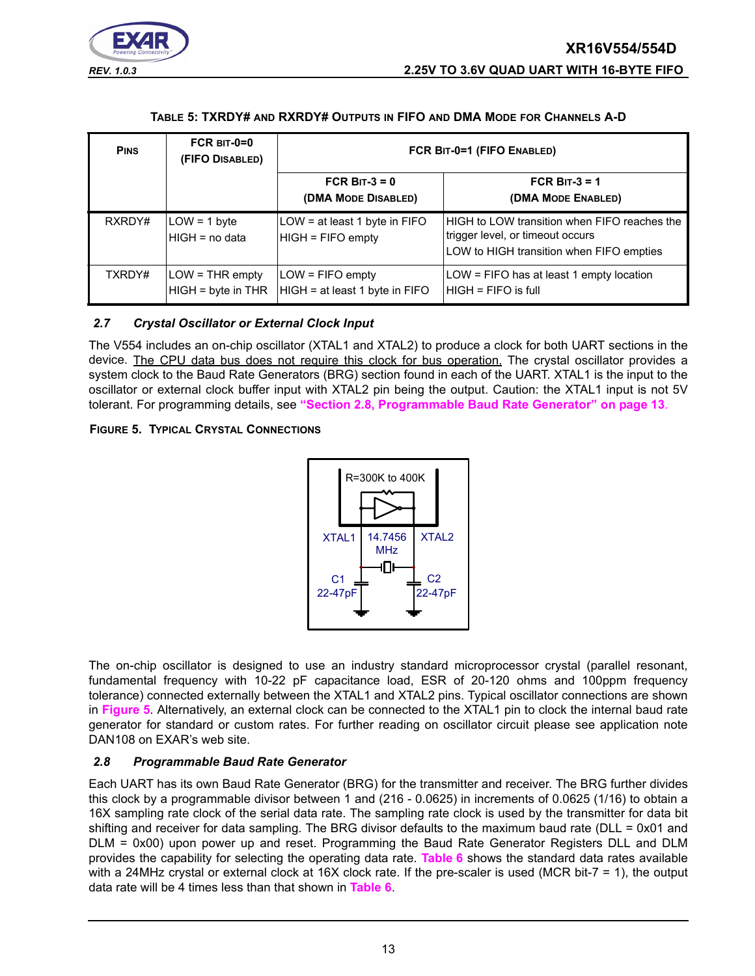



#### **TABLE 5: TXRDY# AND RXRDY# OUTPUTS IN FIFO AND DMA MODE FOR CHANNELS A-D**

<span id="page-12-0"></span>

| <b>PINS</b> | $FCR$ BIT-0=0<br>(FIFO DISABLED)          | FCR BIT-0=1 (FIFO ENABLED)                             |                                                                                                                              |  |  |
|-------------|-------------------------------------------|--------------------------------------------------------|------------------------------------------------------------------------------------------------------------------------------|--|--|
|             |                                           | FCR BIT- $3 = 0$<br>(DMA MODE DISABLED)                | FCR BIT- $3 = 1$<br>(DMA MODE ENABLED)                                                                                       |  |  |
| RXRDY#      | $LOW = 1$ byte<br>IHIGH = no data         | $LOW = at least 1 byte in FIFO$<br>$HIGH = FIFO$ empty | HIGH to LOW transition when FIFO reaches the<br>trigger level, or timeout occurs<br>LOW to HIGH transition when FIFO empties |  |  |
| TXRDY#      | $LOW = THR$ empty<br>$HIGH = byte in THR$ | $LOW = FIFO$ empty<br>HIGH = at least 1 byte in FIFO   | $LOW = FIFO$ has at least 1 empty location<br>$HIGH = FIFO$ is full                                                          |  |  |

#### *2.7 Crystal Oscillator or External Clock Input*

The V554 includes an on-chip oscillator (XTAL1 and XTAL2) to produce a clock for both UART sections in the device. The CPU data bus does not require this clock for bus operation. The crystal oscillator provides a system clock to the Baud Rate Generators (BRG) section found in each of the UART. XTAL1 is the input to the oscillator or external clock buffer input with XTAL2 pin being the output. Caution: the XTAL1 input is not 5V tolerant. For programming details, see **["Section 2.8, Programmable Baud Rate Generator" on page](#page-12-1) 13**.

#### <span id="page-12-2"></span>**FIGURE 5. TYPICAL CRYSTAL CONNECTIONS**



The on-chip oscillator is designed to use an industry standard microprocessor crystal (parallel resonant, fundamental frequency with 10-22 pF capacitance load, ESR of 20-120 ohms and 100ppm frequency tolerance) connected externally between the XTAL1 and XTAL2 pins. Typical oscillator connections are shown in **[Figure](#page-12-2) 5**. Alternatively, an external clock can be connected to the XTAL1 pin to clock the internal baud rate generator for standard or custom rates. For further reading on oscillator circuit please see application note DAN108 on EXAR's web site.

#### <span id="page-12-1"></span>*2.8 Programmable Baud Rate Generator*

Each UART has its own Baud Rate Generator (BRG) for the transmitter and receiver. The BRG further divides this clock by a programmable divisor between 1 and (216 - 0.0625) in increments of 0.0625 (1/16) to obtain a 16X sampling rate clock of the serial data rate. The sampling rate clock is used by the transmitter for data bit shifting and receiver for data sampling. The BRG divisor defaults to the maximum baud rate (DLL = 0x01 and DLM = 0x00) upon power up and reset. Programming the Baud Rate Generator Registers DLL and DLM provides the capability for selecting the operating data rate. **[Table](#page-13-0) 6** shows the standard data rates available with a 24MHz crystal or external clock at 16X clock rate. If the pre-scaler is used (MCR bit-7 = 1), the output data rate will be 4 times less than that shown in **[Table](#page-13-0) 6**.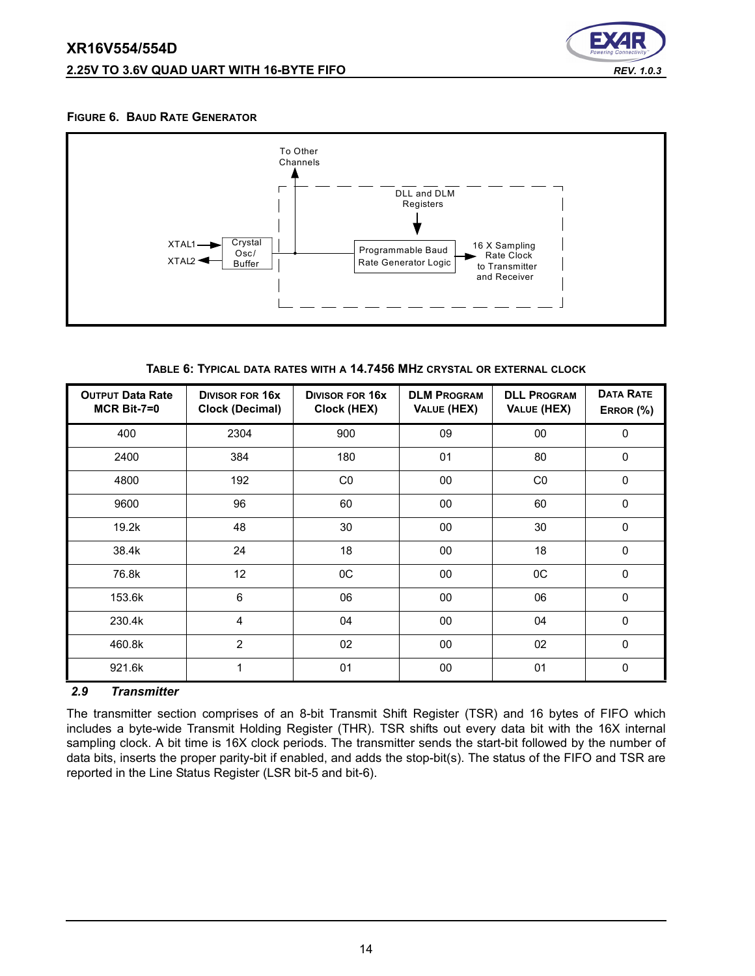

#### **FIGURE 6. BAUD RATE GENERATOR**



**TABLE 6: TYPICAL DATA RATES WITH A 14.7456 MHZ CRYSTAL OR EXTERNAL CLOCK**

<span id="page-13-0"></span>

| <b>OUTPUT Data Rate</b><br>$MCR$ Bit-7=0 | <b>DIVISOR FOR 16X</b><br><b>Clock (Decimal)</b> | <b>DIVISOR FOR 16X</b><br>Clock (HEX) | <b>DLM PROGRAM</b><br>VALUE (HEX) | <b>DLL PROGRAM</b><br>VALUE (HEX) | <b>DATA RATE</b><br>ERROR (%) |
|------------------------------------------|--------------------------------------------------|---------------------------------------|-----------------------------------|-----------------------------------|-------------------------------|
| 400                                      | 2304                                             | 900                                   | 09                                | 00                                | $\mathbf{0}$                  |
| 2400                                     | 384                                              | 180                                   | 01                                | 80                                | $\mathbf 0$                   |
| 4800                                     | 192                                              | CO                                    | 00                                | C <sub>0</sub>                    | $\Omega$                      |
| 9600                                     | 96                                               | 60                                    | 00                                | 60                                | $\mathbf 0$                   |
| 19.2k                                    | 48                                               | 30                                    | $00\,$                            | 30                                | $\mathbf 0$                   |
| 38.4k                                    | 24                                               | 18                                    | 00                                | 18                                | $\Omega$                      |
| 76.8k                                    | 12                                               | $_{0C}$                               | 00                                | 0C                                | $\mathbf 0$                   |
| 153.6k                                   | 6                                                | 06                                    | 00                                | 06                                | $\mathbf 0$                   |
| 230.4k                                   | 4                                                | 04                                    | 00                                | 04                                | $\mathbf 0$                   |
| 460.8k                                   | $\overline{2}$                                   | 02                                    | 00                                | 02                                | $\mathbf 0$                   |
| 921.6k                                   | 1                                                | 01                                    | $00\,$                            | 01                                | $\Omega$                      |

#### <span id="page-13-1"></span>*2.9 Transmitter*

The transmitter section comprises of an 8-bit Transmit Shift Register (TSR) and 16 bytes of FIFO which includes a byte-wide Transmit Holding Register (THR). TSR shifts out every data bit with the 16X internal sampling clock. A bit time is 16X clock periods. The transmitter sends the start-bit followed by the number of data bits, inserts the proper parity-bit if enabled, and adds the stop-bit(s). The status of the FIFO and TSR are reported in the Line Status Register (LSR bit-5 and bit-6).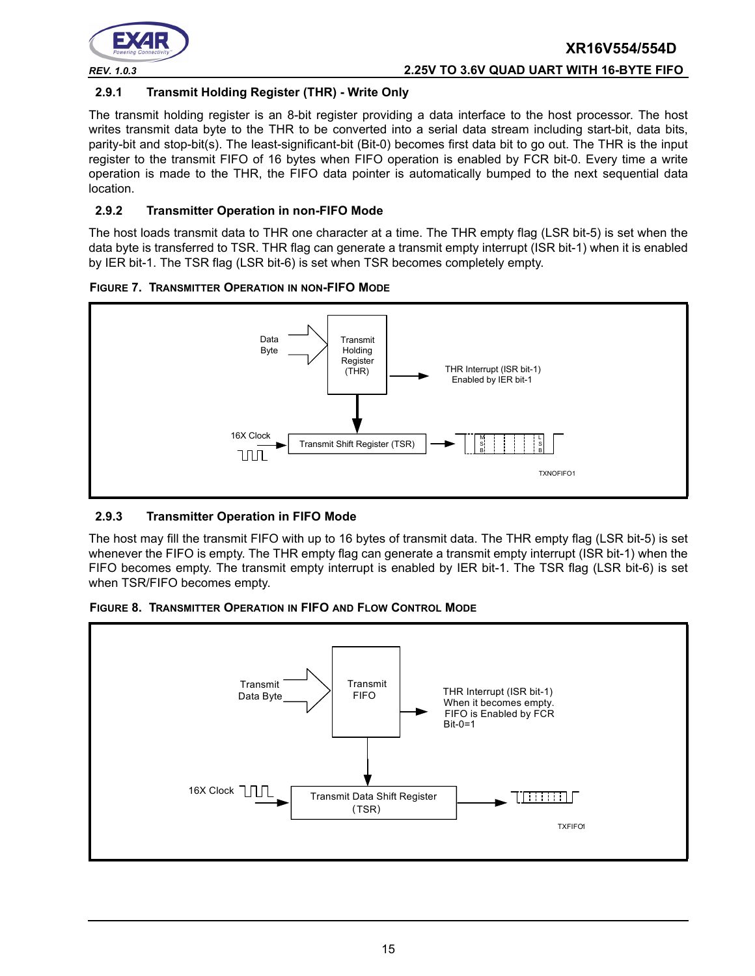

#### **2.9.1 Transmit Holding Register (THR) - Write Only**

The transmit holding register is an 8-bit register providing a data interface to the host processor. The host writes transmit data byte to the THR to be converted into a serial data stream including start-bit, data bits, parity-bit and stop-bit(s). The least-significant-bit (Bit-0) becomes first data bit to go out. The THR is the input register to the transmit FIFO of 16 bytes when FIFO operation is enabled by FCR bit-0. Every time a write operation is made to the THR, the FIFO data pointer is automatically bumped to the next sequential data location.

### **2.9.2 Transmitter Operation in non-FIFO Mode**

The host loads transmit data to THR one character at a time. The THR empty flag (LSR bit-5) is set when the data byte is transferred to TSR. THR flag can generate a transmit empty interrupt (ISR bit-1) when it is enabled by IER bit-1. The TSR flag (LSR bit-6) is set when TSR becomes completely empty.

**FIGURE 7. TRANSMITTER OPERATION IN NON-FIFO MODE**



## **2.9.3 Transmitter Operation in FIFO Mode**

The host may fill the transmit FIFO with up to 16 bytes of transmit data. The THR empty flag (LSR bit-5) is set whenever the FIFO is empty. The THR empty flag can generate a transmit empty interrupt (ISR bit-1) when the FIFO becomes empty. The transmit empty interrupt is enabled by IER bit-1. The TSR flag (LSR bit-6) is set when TSR/FIFO becomes empty.



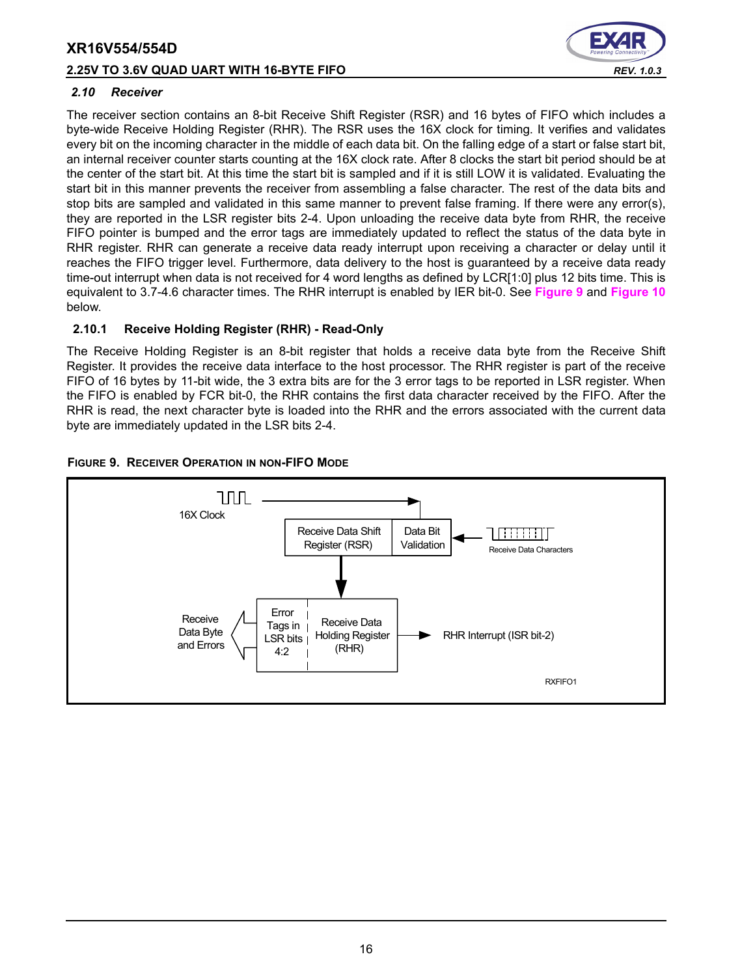#### **2.25V TO 3.6V QUAD UART WITH 16-BYTE FIFO** *REV. 1.0.3*



#### <span id="page-15-1"></span>*2.10 Receiver*

The receiver section contains an 8-bit Receive Shift Register (RSR) and 16 bytes of FIFO which includes a byte-wide Receive Holding Register (RHR). The RSR uses the 16X clock for timing. It verifies and validates every bit on the incoming character in the middle of each data bit. On the falling edge of a start or false start bit, an internal receiver counter starts counting at the 16X clock rate. After 8 clocks the start bit period should be at the center of the start bit. At this time the start bit is sampled and if it is still LOW it is validated. Evaluating the start bit in this manner prevents the receiver from assembling a false character. The rest of the data bits and stop bits are sampled and validated in this same manner to prevent false framing. If there were any error(s), they are reported in the LSR register bits 2-4. Upon unloading the receive data byte from RHR, the receive FIFO pointer is bumped and the error tags are immediately updated to reflect the status of the data byte in RHR register. RHR can generate a receive data ready interrupt upon receiving a character or delay until it reaches the FIFO trigger level. Furthermore, data delivery to the host is guaranteed by a receive data ready time-out interrupt when data is not received for 4 word lengths as defined by LCR[1:0] plus 12 bits time. This is equivalent to 3.7-4.6 character times. The RHR interrupt is enabled by IER bit-0. See **[Figure](#page-15-0) 9** and **[Figure](#page-16-0) 10** below.

#### **2.10.1 Receive Holding Register (RHR) - Read-Only**

The Receive Holding Register is an 8-bit register that holds a receive data byte from the Receive Shift Register. It provides the receive data interface to the host processor. The RHR register is part of the receive FIFO of 16 bytes by 11-bit wide, the 3 extra bits are for the 3 error tags to be reported in LSR register. When the FIFO is enabled by FCR bit-0, the RHR contains the first data character received by the FIFO. After the RHR is read, the next character byte is loaded into the RHR and the errors associated with the current data byte are immediately updated in the LSR bits 2-4.



#### <span id="page-15-0"></span>**FIGURE 9. RECEIVER OPERATION IN NON-FIFO MODE**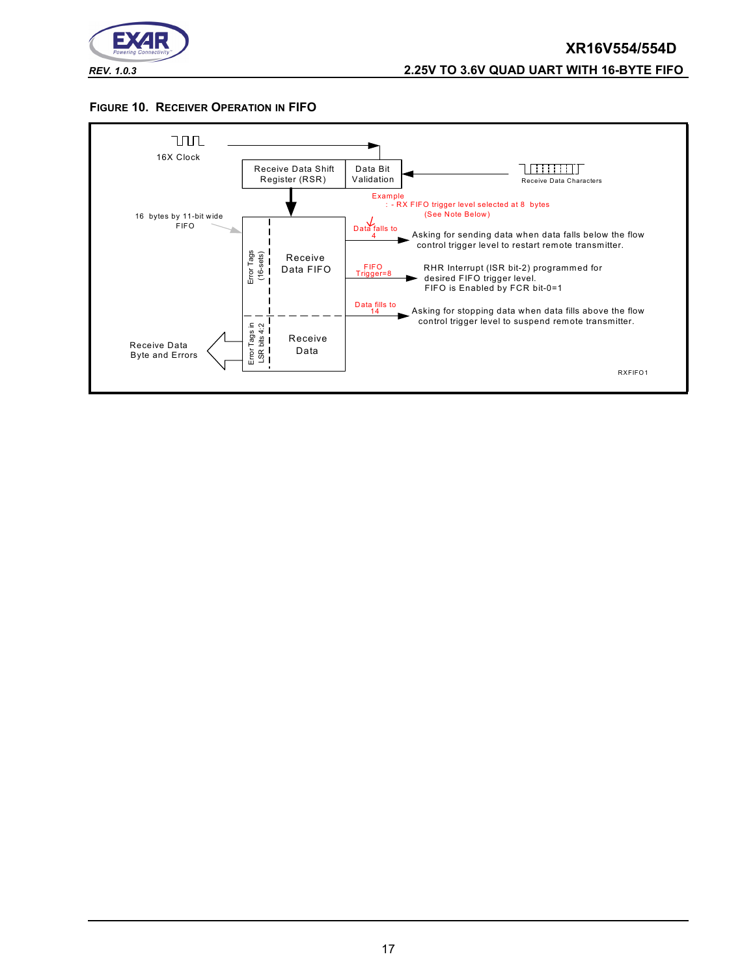

#### <span id="page-16-0"></span>**FIGURE 10. RECEIVER OPERATION IN FIFO**

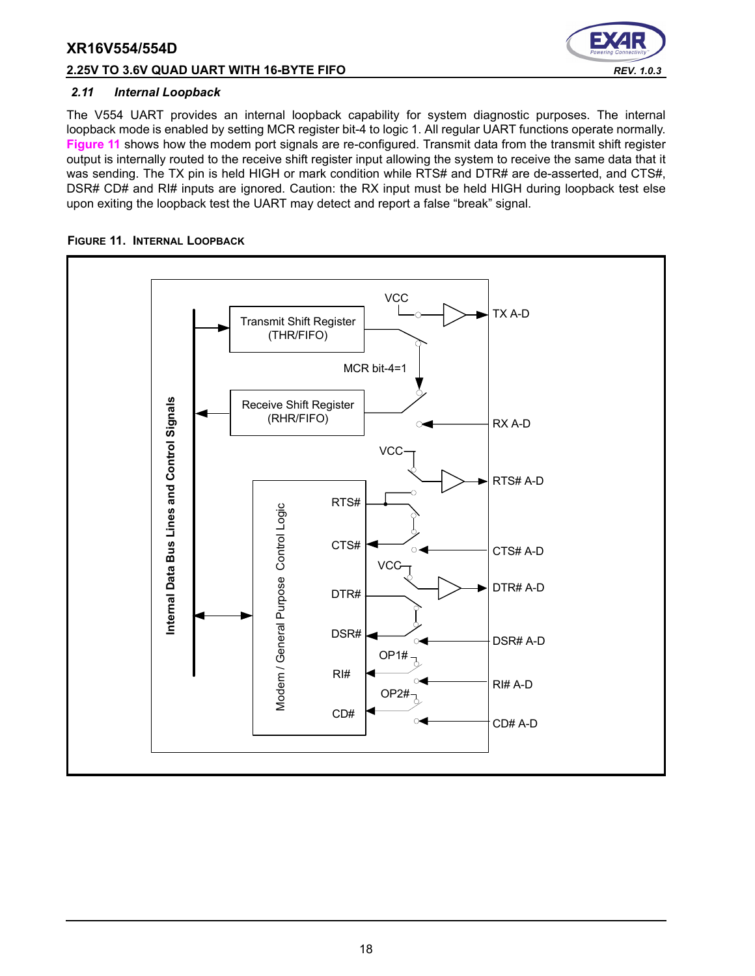#### **2.25V TO 3.6V QUAD UART WITH 16-BYTE FIFO** *REV. 1.0.3*



#### *2.11 Internal Loopback*

The V554 UART provides an internal loopback capability for system diagnostic purposes. The internal loopback mode is enabled by setting MCR register bit-4 to logic 1. All regular UART functions operate normally. **[Figure](#page-17-0) 11** shows how the modem port signals are re-configured. Transmit data from the transmit shift register output is internally routed to the receive shift register input allowing the system to receive the same data that it was sending. The TX pin is held HIGH or mark condition while RTS# and DTR# are de-asserted, and CTS#, DSR# CD# and RI# inputs are ignored. Caution: the RX input must be held HIGH during loopback test else upon exiting the loopback test the UART may detect and report a false "break" signal.

#### <span id="page-17-0"></span>**FIGURE 11. INTERNAL LOOPBACK**

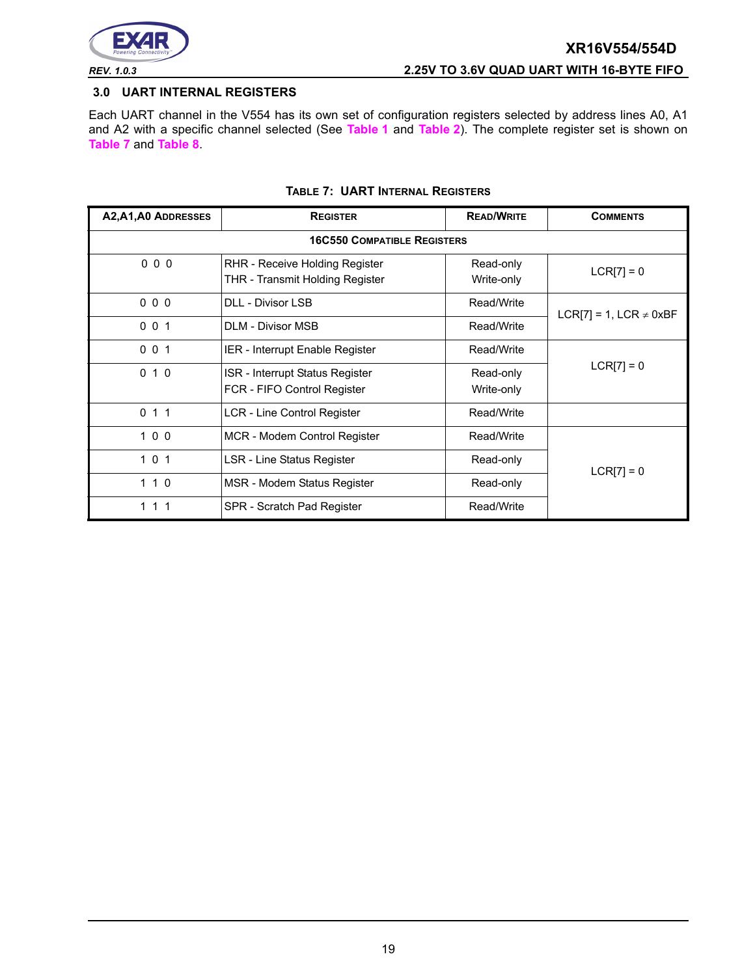

#### <span id="page-18-0"></span>**3.0 UART INTERNAL REGISTERS**

Each UART channel in the V554 has its own set of configuration registers selected by address lines A0, A1 and A2 with a specific channel selected (See **[Table](#page-10-0) 1** and **[Table](#page-10-1) 2**). The complete register set is shown on **[Table](#page-18-1) 7** and **[Table](#page-19-0) 8**.

<span id="page-18-1"></span>

| A2, A1, A0 ADDRESSES | <b>REGISTER</b>                                                                           | <b>READ/WRITE</b>       | <b>COMMENTS</b>             |  |  |  |  |  |  |
|----------------------|-------------------------------------------------------------------------------------------|-------------------------|-----------------------------|--|--|--|--|--|--|
|                      | <b>16C550 COMPATIBLE REGISTERS</b>                                                        |                         |                             |  |  |  |  |  |  |
| 000                  | RHR - Receive Holding Register<br><b>THR - Transmit Holding Register</b>                  | Read-only<br>Write-only | $LCR[7] = 0$                |  |  |  |  |  |  |
| 000                  | <b>DLL - Divisor LSB</b>                                                                  | Read/Write              | LCR[7] = 1, LCR $\neq$ 0xBF |  |  |  |  |  |  |
| 001                  | <b>DLM - Divisor MSB</b>                                                                  | Read/Write              |                             |  |  |  |  |  |  |
| 001                  | IER - Interrupt Enable Register                                                           | Read/Write              |                             |  |  |  |  |  |  |
| 010                  | ISR - Interrupt Status Register<br>Read-only<br>FCR - FIFO Control Register<br>Write-only |                         | $LCR[7] = 0$                |  |  |  |  |  |  |
| 011                  | LCR - Line Control Register                                                               | Read/Write              |                             |  |  |  |  |  |  |
| 100                  | MCR - Modem Control Register                                                              | Read/Write              |                             |  |  |  |  |  |  |
| 101                  | LSR - Line Status Register                                                                | Read-only               | $LCR[7] = 0$                |  |  |  |  |  |  |
| 110                  | MSR - Modem Status Register<br>Read-only                                                  |                         |                             |  |  |  |  |  |  |
| 111                  | SPR - Scratch Pad Register                                                                | Read/Write              |                             |  |  |  |  |  |  |

#### **TABLE 7: UART INTERNAL REGISTERS**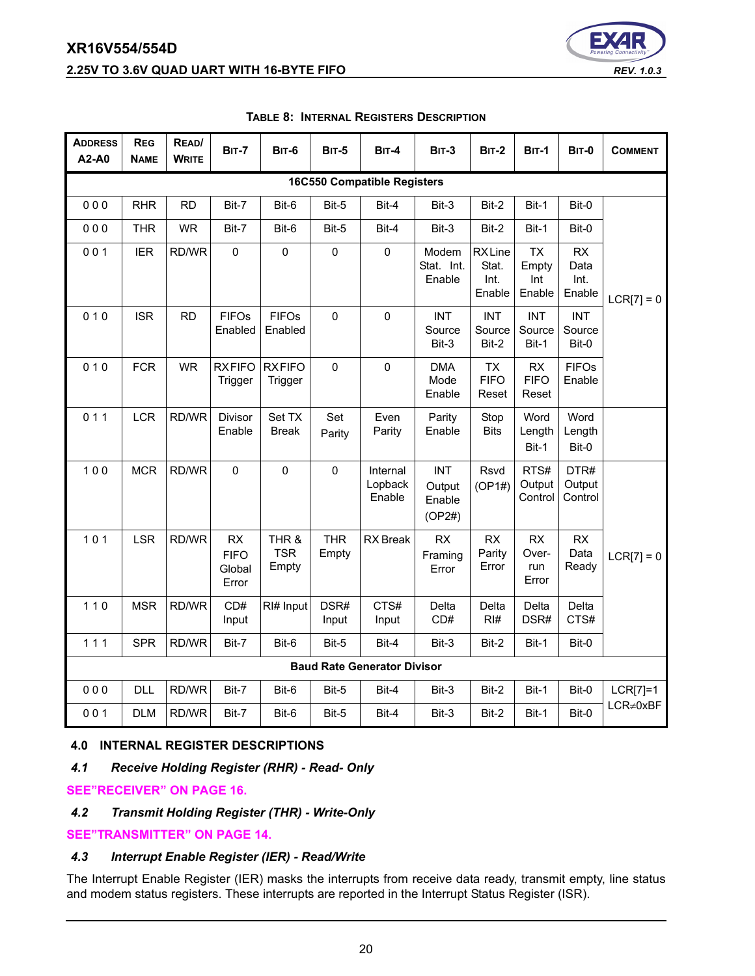

<span id="page-19-0"></span>

| <b>ADDRESS</b><br>A2-A0            | <b>REG</b><br><b>NAME</b> | READ/<br><b>WRITE</b> | <b>BIT-7</b>                         | <b>BIT-6</b>                 | <b>BIT-5</b>        | BIT-4                              | <b>BIT-3</b>                             | <b>BIT-2</b>                             | <b>BIT-1</b>                        | <b>BIT-0</b>                        | <b>COMMENT</b>  |
|------------------------------------|---------------------------|-----------------------|--------------------------------------|------------------------------|---------------------|------------------------------------|------------------------------------------|------------------------------------------|-------------------------------------|-------------------------------------|-----------------|
| <b>16C550 Compatible Registers</b> |                           |                       |                                      |                              |                     |                                    |                                          |                                          |                                     |                                     |                 |
| 000                                | <b>RHR</b>                | <b>RD</b>             | Bit-7                                | Bit-6                        | Bit-5               | Bit-4                              | Bit-3                                    | Bit-2                                    | Bit-1                               | Bit-0                               |                 |
| 000                                | THR                       | <b>WR</b>             | Bit-7                                | Bit-6                        | Bit-5               | Bit-4                              | Bit-3                                    | Bit-2                                    | Bit-1                               | Bit-0                               |                 |
| 001                                | <b>IER</b>                | RD/WR                 | $\mathbf 0$                          | 0                            | 0                   | 0                                  | Modem<br>Stat. Int.<br>Enable            | <b>RXLine</b><br>Stat.<br>Int.<br>Enable | <b>TX</b><br>Empty<br>Int<br>Enable | <b>RX</b><br>Data<br>Int.<br>Enable | $LCR[7] = 0$    |
| 010                                | <b>ISR</b>                | <b>RD</b>             | <b>FIFOs</b><br>Enabled              | <b>FIFOs</b><br>Enabled      | $\mathbf 0$         | $\pmb{0}$                          | <b>INT</b><br>Source<br>Bit-3            | <b>INT</b><br>Source<br>Bit-2            | <b>INT</b><br>Source<br>Bit-1       | <b>INT</b><br>Source<br>Bit-0       |                 |
| 010                                | <b>FCR</b>                | <b>WR</b>             | <b>RXFIFO</b><br>Trigger             | <b>RXFIFO</b><br>Trigger     | $\pmb{0}$           | 0                                  | <b>DMA</b><br>Mode<br>Enable             | <b>TX</b><br><b>FIFO</b><br>Reset        | RX<br><b>FIFO</b><br>Reset          | <b>FIFOs</b><br>Enable              |                 |
| 011                                | <b>LCR</b>                | RD/WR                 | Divisor<br>Enable                    | Set TX<br>Break              | Set<br>Parity       | Even<br>Parity                     | Parity<br>Enable                         | Stop<br><b>Bits</b>                      | Word<br>Length<br>Bit-1             | Word<br>Length<br>Bit-0             |                 |
| 100                                | <b>MCR</b>                | RD/WR                 | $\mathbf 0$                          | $\mathbf 0$                  | $\pmb{0}$           | Internal<br>Lopback<br>Enable      | <b>INT</b><br>Output<br>Enable<br>(OP2#) | Rsvd<br>(OP1#)                           | RTS#<br>Output<br>Control           | DTR#<br>Output<br>Control           |                 |
| 101                                | <b>LSR</b>                | RD/WR                 | RX<br><b>FIFO</b><br>Global<br>Error | THR &<br><b>TSR</b><br>Empty | <b>THR</b><br>Empty | <b>RX</b> Break                    | RX<br>Framing<br>Error                   | <b>RX</b><br>Parity<br>Error             | RX<br>Over-<br>run<br>Error         | RX<br>Data<br>Ready                 | $LCR[7] = 0$    |
| $110$                              | <b>MSR</b>                | RD/WR                 | CD#<br>Input                         | RI# Input                    | DSR#<br>Input       | CTS#<br>Input                      | Delta<br>CD#                             | Delta<br>RI#                             | Delta<br>DSR#                       | Delta<br>CTS#                       |                 |
| 111                                | <b>SPR</b>                | RD/WR                 | Bit-7                                | Bit-6                        | Bit-5               | Bit-4                              | Bit-3                                    | Bit-2                                    | Bit-1                               | Bit-0                               |                 |
|                                    |                           |                       |                                      |                              |                     | <b>Baud Rate Generator Divisor</b> |                                          |                                          |                                     |                                     |                 |
| 000                                | <b>DLL</b>                | RD/WR                 | Bit-7                                | Bit-6                        | Bit-5               | Bit-4                              | Bit-3                                    | Bit-2                                    | Bit-1                               | Bit-0                               | $LCR[7]=1$      |
| 001                                | <b>DLM</b>                | RD/WR                 | Bit-7                                | Bit-6                        | Bit-5               | Bit-4                              | Bit-3                                    | Bit-2                                    | Bit-1                               | Bit-0                               | $LCR \neq 0xBF$ |

#### **TABLE 8: INTERNAL REGISTERS DESCRIPTION**

#### **4.0 INTERNAL REGISTER DESCRIPTIONS**

*4.1 Receive Holding Register (RHR) - Read- Only*

**[SEE"RECEIVER" ON PAGE](#page-15-1) 16.**

### *4.2 Transmit Holding Register (THR) - Write-Only*

**[SEE"TRANSMITTER" ON PAGE](#page-13-1) 14.**

#### *4.3 Interrupt Enable Register (IER) - Read/Write*

The Interrupt Enable Register (IER) masks the interrupts from receive data ready, transmit empty, line status and modem status registers. These interrupts are reported in the Interrupt Status Register (ISR).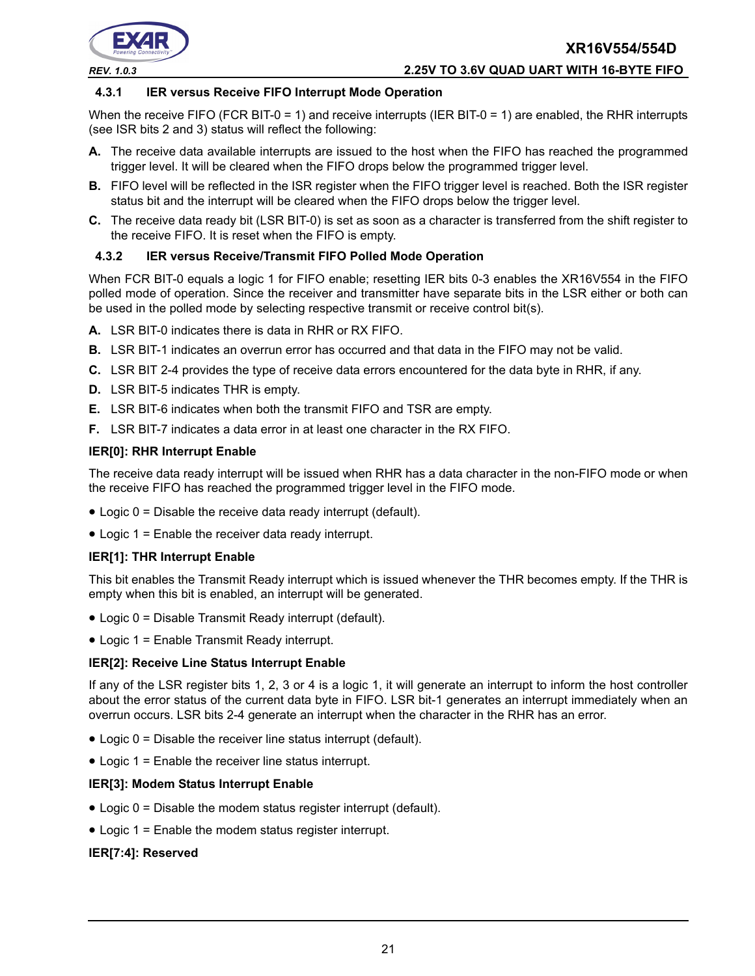

#### *REV. 1.0.3* **2.25V TO 3.6V QUAD UART WITH 16-BYTE FIFO**

#### **4.3.1 IER versus Receive FIFO Interrupt Mode Operation**

When the receive FIFO (FCR BIT-0 = 1) and receive interrupts (IER BIT-0 = 1) are enabled, the RHR interrupts (see ISR bits 2 and 3) status will reflect the following:

- **A.** The receive data available interrupts are issued to the host when the FIFO has reached the programmed trigger level. It will be cleared when the FIFO drops below the programmed trigger level.
- **B.** FIFO level will be reflected in the ISR register when the FIFO trigger level is reached. Both the ISR register status bit and the interrupt will be cleared when the FIFO drops below the trigger level.
- **C.** The receive data ready bit (LSR BIT-0) is set as soon as a character is transferred from the shift register to the receive FIFO. It is reset when the FIFO is empty.

#### **4.3.2 IER versus Receive/Transmit FIFO Polled Mode Operation**

When FCR BIT-0 equals a logic 1 for FIFO enable; resetting IER bits 0-3 enables the XR16V554 in the FIFO polled mode of operation. Since the receiver and transmitter have separate bits in the LSR either or both can be used in the polled mode by selecting respective transmit or receive control bit(s).

- **A.** LSR BIT-0 indicates there is data in RHR or RX FIFO.
- **B.** LSR BIT-1 indicates an overrun error has occurred and that data in the FIFO may not be valid.
- **C.** LSR BIT 2-4 provides the type of receive data errors encountered for the data byte in RHR, if any.
- **D.** LSR BIT-5 indicates THR is empty.
- **E.** LSR BIT-6 indicates when both the transmit FIFO and TSR are empty.
- **F.** LSR BIT-7 indicates a data error in at least one character in the RX FIFO.

#### **IER[0]: RHR Interrupt Enable**

The receive data ready interrupt will be issued when RHR has a data character in the non-FIFO mode or when the receive FIFO has reached the programmed trigger level in the FIFO mode.

- Logic 0 = Disable the receive data ready interrupt (default).
- Logic 1 = Enable the receiver data ready interrupt.

#### **IER[1]: THR Interrupt Enable**

This bit enables the Transmit Ready interrupt which is issued whenever the THR becomes empty. If the THR is empty when this bit is enabled, an interrupt will be generated.

- Logic 0 = Disable Transmit Ready interrupt (default).
- Logic 1 = Enable Transmit Ready interrupt.

#### **IER[2]: Receive Line Status Interrupt Enable**

If any of the LSR register bits 1, 2, 3 or 4 is a logic 1, it will generate an interrupt to inform the host controller about the error status of the current data byte in FIFO. LSR bit-1 generates an interrupt immediately when an overrun occurs. LSR bits 2-4 generate an interrupt when the character in the RHR has an error.

- Logic 0 = Disable the receiver line status interrupt (default).
- Logic 1 = Enable the receiver line status interrupt.

#### **IER[3]: Modem Status Interrupt Enable**

- Logic 0 = Disable the modem status register interrupt (default).
- Logic 1 = Enable the modem status register interrupt.

#### **IER[7:4]: Reserved**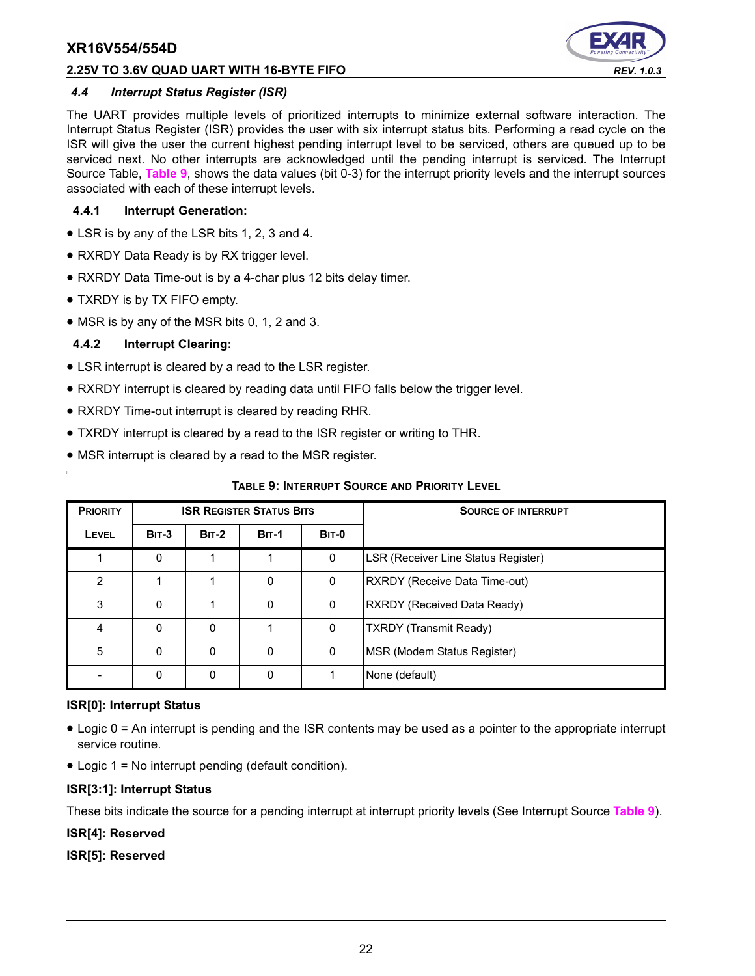#### **2.25V TO 3.6V QUAD UART WITH 16-BYTE FIFO** *REV. 1.0.3*



#### *4.4 Interrupt Status Register (ISR)*

The UART provides multiple levels of prioritized interrupts to minimize external software interaction. The Interrupt Status Register (ISR) provides the user with six interrupt status bits. Performing a read cycle on the ISR will give the user the current highest pending interrupt level to be serviced, others are queued up to be serviced next. No other interrupts are acknowledged until the pending interrupt is serviced. The Interrupt Source Table, **[Table](#page-21-0) 9**, shows the data values (bit 0-3) for the interrupt priority levels and the interrupt sources associated with each of these interrupt levels.

#### **4.4.1 Interrupt Generation:**

- LSR is by any of the LSR bits 1, 2, 3 and 4.
- RXRDY Data Ready is by RX trigger level.
- RXRDY Data Time-out is by a 4-char plus 12 bits delay timer.
- TXRDY is by TX FIFO empty.
- MSR is by any of the MSR bits 0, 1, 2 and 3.

#### **4.4.2 Interrupt Clearing:**

- LSR interrupt is cleared by a read to the LSR register.
- RXRDY interrupt is cleared by reading data until FIFO falls below the trigger level.
- RXRDY Time-out interrupt is cleared by reading RHR.
- TXRDY interrupt is cleared by a read to the ISR register or writing to THR.
- MSR interrupt is cleared by a read to the MSR register.

#### **TABLE 9: INTERRUPT SOURCE AND PRIORITY LEVEL**

<span id="page-21-0"></span>

| <b>PRIORITY</b> | <b>ISR REGISTER STATUS BITS</b> |              |              |              | <b>SOURCE OF INTERRUPT</b>          |
|-----------------|---------------------------------|--------------|--------------|--------------|-------------------------------------|
| LEVEL           | <b>BIT-3</b>                    | <b>BIT-2</b> | <b>BIT-1</b> | <b>BIT-0</b> |                                     |
|                 | 0                               |              |              | 0            | LSR (Receiver Line Status Register) |
| 2               |                                 |              | 0            | 0            | RXRDY (Receive Data Time-out)       |
| 3               | 0                               |              | $\Omega$     | 0            | RXRDY (Received Data Ready)         |
| 4               | 0                               | 0            |              | 0            | <b>TXRDY (Transmit Ready)</b>       |
| 5               | $\Omega$                        | $\Omega$     | O            | 0            | MSR (Modem Status Register)         |
|                 | 0                               | 0            | 0            |              | None (default)                      |

#### **ISR[0]: Interrupt Status**

- Logic 0 = An interrupt is pending and the ISR contents may be used as a pointer to the appropriate interrupt service routine.
- Logic 1 = No interrupt pending (default condition).

#### **ISR[3:1]: Interrupt Status**

These bits indicate the source for a pending interrupt at interrupt priority levels (See Interrupt Source **[Table](#page-21-0) 9**).

#### **ISR[4]: Reserved**

**ISR[5]: Reserved**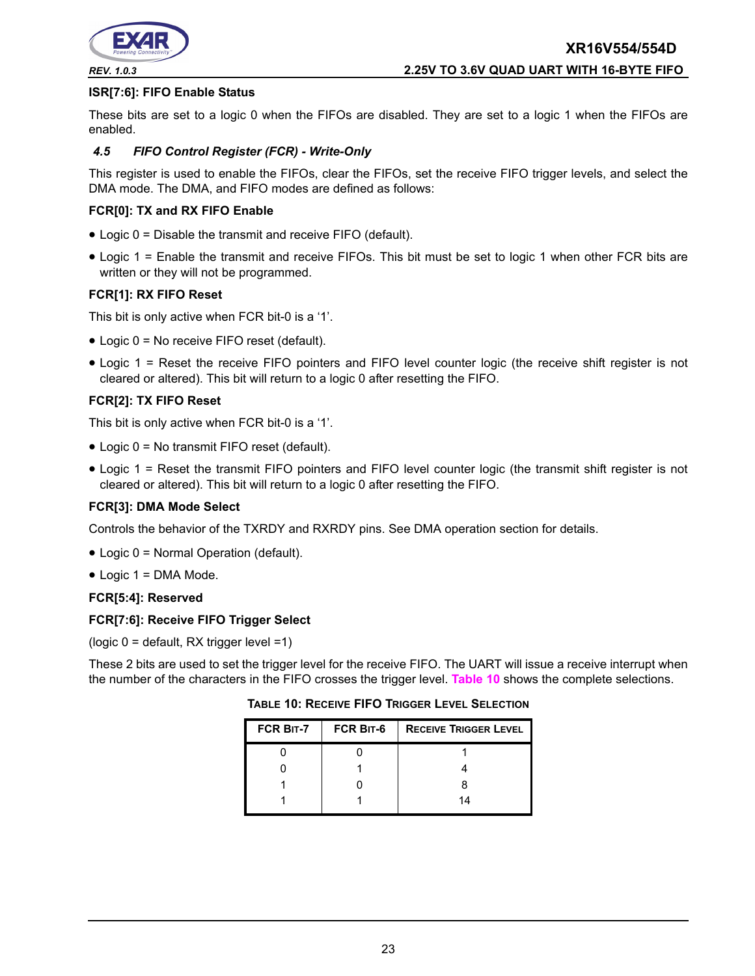

#### **ISR[7:6]: FIFO Enable Status**

These bits are set to a logic 0 when the FIFOs are disabled. They are set to a logic 1 when the FIFOs are enabled.

#### *4.5 FIFO Control Register (FCR) - Write-Only*

This register is used to enable the FIFOs, clear the FIFOs, set the receive FIFO trigger levels, and select the DMA mode. The DMA, and FIFO modes are defined as follows:

#### **FCR[0]: TX and RX FIFO Enable**

- Logic 0 = Disable the transmit and receive FIFO (default).
- Logic 1 = Enable the transmit and receive FIFOs. This bit must be set to logic 1 when other FCR bits are written or they will not be programmed.

#### **FCR[1]: RX FIFO Reset**

This bit is only active when FCR bit-0 is a '1'.

- Logic 0 = No receive FIFO reset (default).
- Logic 1 = Reset the receive FIFO pointers and FIFO level counter logic (the receive shift register is not cleared or altered). This bit will return to a logic 0 after resetting the FIFO.

#### **FCR[2]: TX FIFO Reset**

This bit is only active when FCR bit-0 is a '1'.

- Logic 0 = No transmit FIFO reset (default).
- Logic 1 = Reset the transmit FIFO pointers and FIFO level counter logic (the transmit shift register is not cleared or altered). This bit will return to a logic 0 after resetting the FIFO.

#### **FCR[3]: DMA Mode Select**

Controls the behavior of the TXRDY and RXRDY pins. See DMA operation section for details.

- Logic 0 = Normal Operation (default).
- Logic 1 = DMA Mode.

#### **FCR[5:4]: Reserved**

#### **FCR[7:6]: Receive FIFO Trigger Select**

(logic 0 = default, RX trigger level =1)

<span id="page-22-0"></span>These 2 bits are used to set the trigger level for the receive FIFO. The UART will issue a receive interrupt when the number of the characters in the FIFO crosses the trigger level. **[Table](#page-22-0) 10** shows the complete selections.

**TABLE 10: RECEIVE FIFO TRIGGER LEVEL SELECTION**

| FCR BIT-7 | <b>FCR BIT-6</b> | <b>RECEIVE TRIGGER LEVEL</b> |
|-----------|------------------|------------------------------|
|           |                  |                              |
|           |                  |                              |
|           |                  |                              |
|           |                  | 14                           |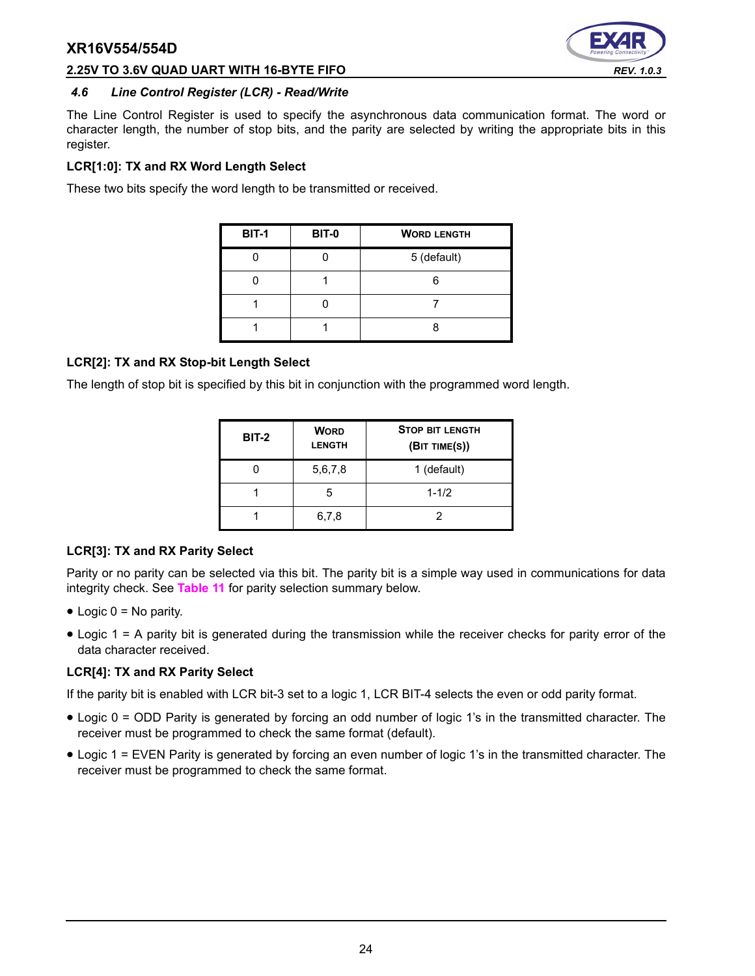

#### **2.25V TO 3.6V QUAD UART WITH 16-BYTE FIFO** *REV. 1.0.3*

#### *4.6 Line Control Register (LCR) - Read/Write*

The Line Control Register is used to specify the asynchronous data communication format. The word or character length, the number of stop bits, and the parity are selected by writing the appropriate bits in this register.

#### **LCR[1:0]: TX and RX Word Length Select**

These two bits specify the word length to be transmitted or received.

| <b>BIT-1</b> | <b>BIT-0</b> | <b>WORD LENGTH</b> |
|--------------|--------------|--------------------|
|              |              | 5 (default)        |
|              |              |                    |
|              |              |                    |
|              |              |                    |

#### **LCR[2]: TX and RX Stop-bit Length Select**

The length of stop bit is specified by this bit in conjunction with the programmed word length.

| <b>BIT-2</b> | <b>WORD</b><br><b>LENGTH</b> | <b>STOP BIT LENGTH</b><br>(BIT TIME(S)) |
|--------------|------------------------------|-----------------------------------------|
|              | 5,6,7,8                      | 1 (default)                             |
|              | 5                            | $1 - 1/2$                               |
|              | 6,7,8                        |                                         |

#### **LCR[3]: TX and RX Parity Select**

Parity or no parity can be selected via this bit. The parity bit is a simple way used in communications for data integrity check. See **[Table](#page-24-0) 11** for parity selection summary below.

- $\bullet$  Logic 0 = No parity.
- Logic 1 = A parity bit is generated during the transmission while the receiver checks for parity error of the data character received.

#### **LCR[4]: TX and RX Parity Select**

If the parity bit is enabled with LCR bit-3 set to a logic 1, LCR BIT-4 selects the even or odd parity format.

- Logic 0 = ODD Parity is generated by forcing an odd number of logic 1's in the transmitted character. The receiver must be programmed to check the same format (default).
- Logic 1 = EVEN Parity is generated by forcing an even number of logic 1's in the transmitted character. The receiver must be programmed to check the same format.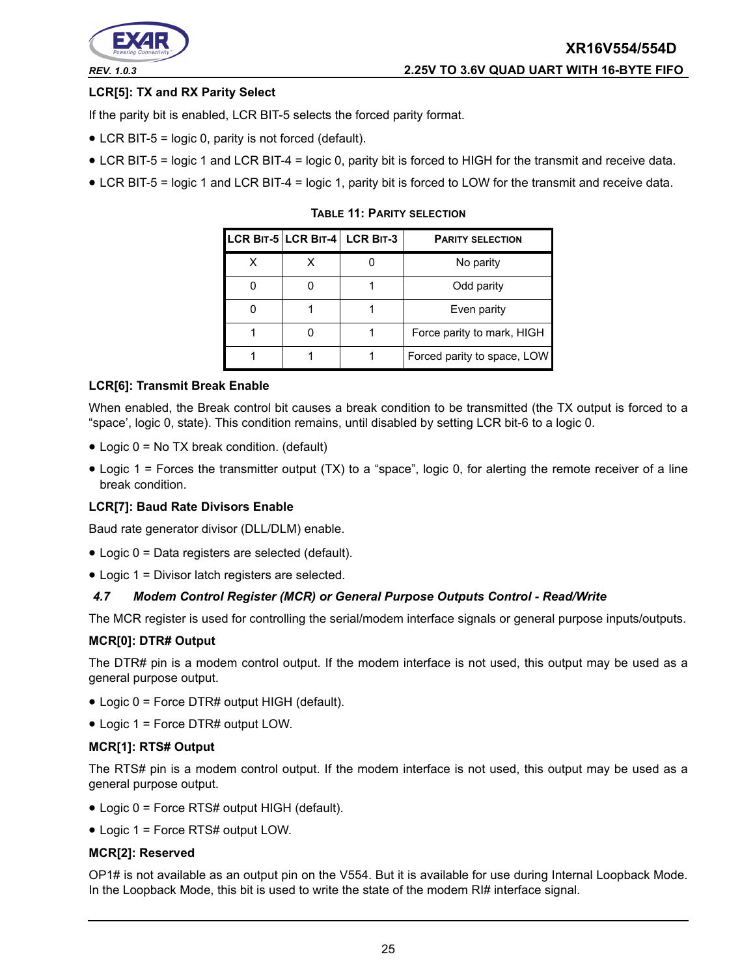

## **LCR[5]: TX and RX Parity Select**

If the parity bit is enabled, LCR BIT-5 selects the forced parity format.

- LCR BIT-5 = logic 0, parity is not forced (default).
- LCR BIT-5 = logic 1 and LCR BIT-4 = logic 0, parity bit is forced to HIGH for the transmit and receive data.
- <span id="page-24-0"></span>• LCR BIT-5 = logic 1 and LCR BIT-4 = logic 1, parity bit is forced to LOW for the transmit and receive data.

|  | LCR BIT-5 LCR BIT-4 LCR BIT-3 | <b>PARITY SELECTION</b>     |
|--|-------------------------------|-----------------------------|
|  |                               | No parity                   |
|  |                               | Odd parity                  |
|  |                               | Even parity                 |
|  |                               | Force parity to mark, HIGH  |
|  |                               | Forced parity to space, LOW |

**TABLE 11: PARITY SELECTION**

#### **LCR[6]: Transmit Break Enable**

When enabled, the Break control bit causes a break condition to be transmitted (the TX output is forced to a "space', logic 0, state). This condition remains, until disabled by setting LCR bit-6 to a logic 0.

- Logic 0 = No TX break condition. (default)
- Logic 1 = Forces the transmitter output (TX) to a "space", logic 0, for alerting the remote receiver of a line break condition.

#### **LCR[7]: Baud Rate Divisors Enable**

Baud rate generator divisor (DLL/DLM) enable.

- Logic 0 = Data registers are selected (default).
- Logic 1 = Divisor latch registers are selected.

#### *4.7 Modem Control Register (MCR) or General Purpose Outputs Control - Read/Write*

The MCR register is used for controlling the serial/modem interface signals or general purpose inputs/outputs.

#### **MCR[0]: DTR# Output**

The DTR# pin is a modem control output. If the modem interface is not used, this output may be used as a general purpose output.

- Logic 0 = Force DTR# output HIGH (default).
- Logic 1 = Force DTR# output LOW.

#### **MCR[1]: RTS# Output**

The RTS# pin is a modem control output. If the modem interface is not used, this output may be used as a general purpose output.

- Logic 0 = Force RTS# output HIGH (default).
- Logic 1 = Force RTS# output LOW.

#### **MCR[2]: Reserved**

OP1# is not available as an output pin on the V554. But it is available for use during Internal Loopback Mode. In the Loopback Mode, this bit is used to write the state of the modem RI# interface signal.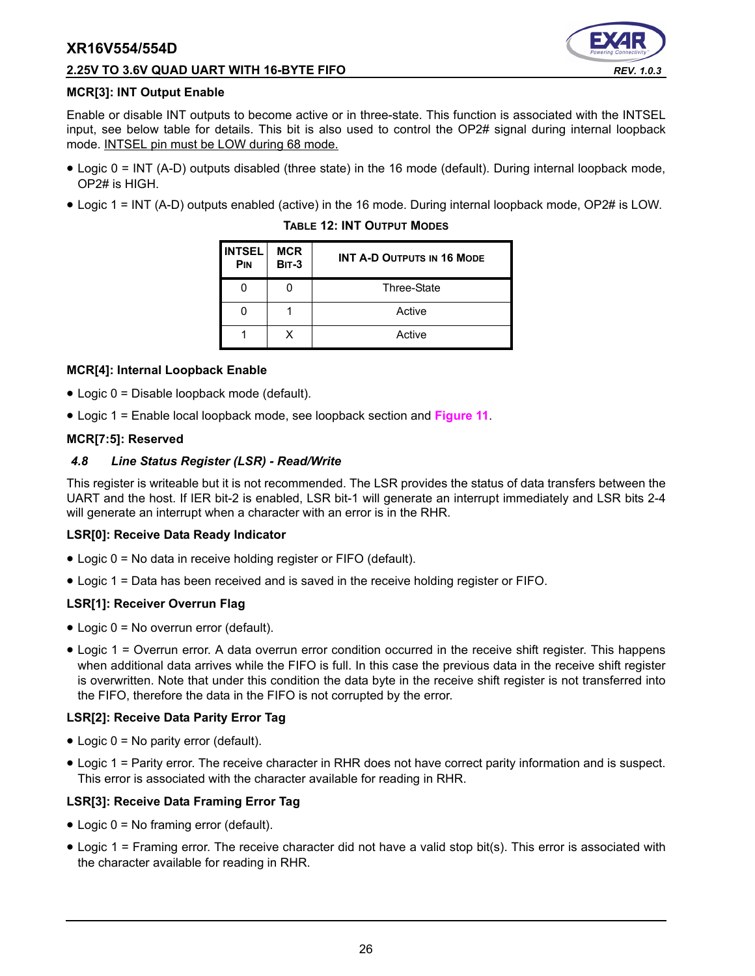#### **2.25V TO 3.6V QUAD UART WITH 16-BYTE FIFO** *REV. 1.0.3*



#### **MCR[3]: INT Output Enable**

Enable or disable INT outputs to become active or in three-state. This function is associated with the INTSEL input, see below table for details. This bit is also used to control the OP2# signal during internal loopback mode. INTSEL pin must be LOW during 68 mode.

- Logic 0 = INT (A-D) outputs disabled (three state) in the 16 mode (default). During internal loopback mode, OP2# is HIGH.
- Logic 1 = INT (A-D) outputs enabled (active) in the 16 mode. During internal loopback mode, OP2# is LOW.

| <b>INTSEL</b><br>PIN | <b>MCR</b><br><b>BIT-3</b> | <b>INT A-D OUTPUTS IN 16 MODE</b> |
|----------------------|----------------------------|-----------------------------------|
|                      |                            | <b>Three-State</b>                |
|                      |                            | Active                            |
|                      | x                          | Active                            |

#### **TABLE 12: INT OUTPUT MODES**

#### **MCR[4]: Internal Loopback Enable**

- Logic 0 = Disable loopback mode (default).
- Logic 1 = Enable local loopback mode, see loopback section and **[Figure](#page-17-0) 11**.

#### **MCR[7:5]: Reserved**

#### *4.8 Line Status Register (LSR) - Read/Write*

This register is writeable but it is not recommended. The LSR provides the status of data transfers between the UART and the host. If IER bit-2 is enabled, LSR bit-1 will generate an interrupt immediately and LSR bits 2-4 will generate an interrupt when a character with an error is in the RHR.

#### **LSR[0]: Receive Data Ready Indicator**

- Logic 0 = No data in receive holding register or FIFO (default).
- Logic 1 = Data has been received and is saved in the receive holding register or FIFO.

#### **LSR[1]: Receiver Overrun Flag**

- Logic 0 = No overrun error (default).
- Logic 1 = Overrun error. A data overrun error condition occurred in the receive shift register. This happens when additional data arrives while the FIFO is full. In this case the previous data in the receive shift register is overwritten. Note that under this condition the data byte in the receive shift register is not transferred into the FIFO, therefore the data in the FIFO is not corrupted by the error.

#### **LSR[2]: Receive Data Parity Error Tag**

- Logic 0 = No parity error (default).
- Logic 1 = Parity error. The receive character in RHR does not have correct parity information and is suspect. This error is associated with the character available for reading in RHR.

#### **LSR[3]: Receive Data Framing Error Tag**

- Logic 0 = No framing error (default).
- Logic 1 = Framing error. The receive character did not have a valid stop bit(s). This error is associated with the character available for reading in RHR.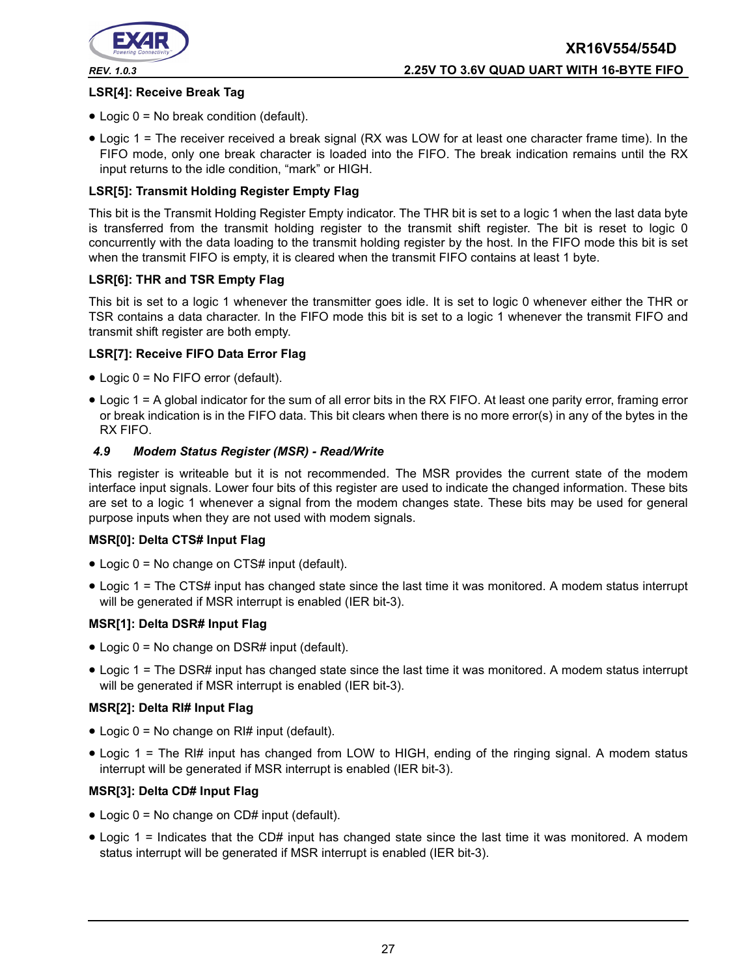

#### **LSR[4]: Receive Break Tag**

- Logic 0 = No break condition (default).
- Logic 1 = The receiver received a break signal (RX was LOW for at least one character frame time). In the FIFO mode, only one break character is loaded into the FIFO. The break indication remains until the RX input returns to the idle condition, "mark" or HIGH.

#### **LSR[5]: Transmit Holding Register Empty Flag**

This bit is the Transmit Holding Register Empty indicator. The THR bit is set to a logic 1 when the last data byte is transferred from the transmit holding register to the transmit shift register. The bit is reset to logic 0 concurrently with the data loading to the transmit holding register by the host. In the FIFO mode this bit is set when the transmit FIFO is empty, it is cleared when the transmit FIFO contains at least 1 byte.

#### **LSR[6]: THR and TSR Empty Flag**

This bit is set to a logic 1 whenever the transmitter goes idle. It is set to logic 0 whenever either the THR or TSR contains a data character. In the FIFO mode this bit is set to a logic 1 whenever the transmit FIFO and transmit shift register are both empty.

#### **LSR[7]: Receive FIFO Data Error Flag**

- Logic 0 = No FIFO error (default).
- Logic 1 = A global indicator for the sum of all error bits in the RX FIFO. At least one parity error, framing error or break indication is in the FIFO data. This bit clears when there is no more error(s) in any of the bytes in the RX FIFO.

#### *4.9 Modem Status Register (MSR) - Read/Write*

This register is writeable but it is not recommended. The MSR provides the current state of the modem interface input signals. Lower four bits of this register are used to indicate the changed information. These bits are set to a logic 1 whenever a signal from the modem changes state. These bits may be used for general purpose inputs when they are not used with modem signals.

#### **MSR[0]: Delta CTS# Input Flag**

- Logic 0 = No change on CTS# input (default).
- Logic 1 = The CTS# input has changed state since the last time it was monitored. A modem status interrupt will be generated if MSR interrupt is enabled (IER bit-3).

#### **MSR[1]: Delta DSR# Input Flag**

- Logic 0 = No change on DSR# input (default).
- Logic 1 = The DSR# input has changed state since the last time it was monitored. A modem status interrupt will be generated if MSR interrupt is enabled (IER bit-3).

#### **MSR[2]: Delta RI# Input Flag**

- Logic  $0 = No$  change on RI# input (default).
- Logic 1 = The RI# input has changed from LOW to HIGH, ending of the ringing signal. A modem status interrupt will be generated if MSR interrupt is enabled (IER bit-3).

#### **MSR[3]: Delta CD# Input Flag**

- Logic 0 = No change on CD# input (default).
- Logic 1 = Indicates that the CD# input has changed state since the last time it was monitored. A modem status interrupt will be generated if MSR interrupt is enabled (IER bit-3).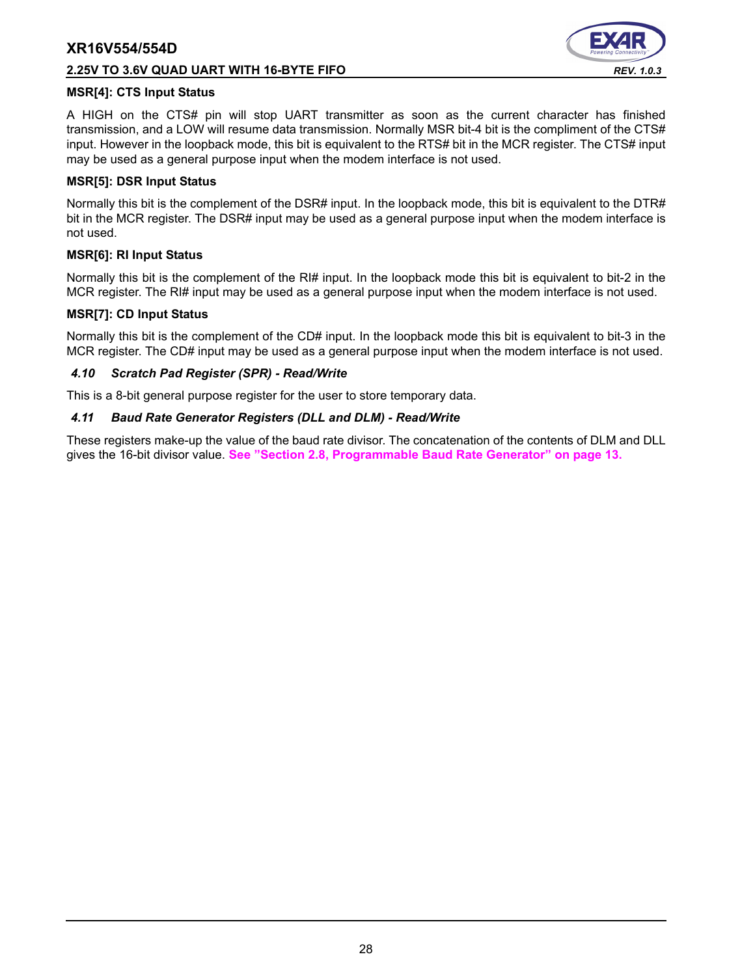#### **2.25V TO 3.6V QUAD UART WITH 16-BYTE FIFO** *REV. 1.0.3*



#### **MSR[4]: CTS Input Status**

A HIGH on the CTS# pin will stop UART transmitter as soon as the current character has finished transmission, and a LOW will resume data transmission. Normally MSR bit-4 bit is the compliment of the CTS# input. However in the loopback mode, this bit is equivalent to the RTS# bit in the MCR register. The CTS# input may be used as a general purpose input when the modem interface is not used.

#### **MSR[5]: DSR Input Status**

Normally this bit is the complement of the DSR# input. In the loopback mode, this bit is equivalent to the DTR# bit in the MCR register. The DSR# input may be used as a general purpose input when the modem interface is not used.

#### **MSR[6]: RI Input Status**

Normally this bit is the complement of the RI# input. In the loopback mode this bit is equivalent to bit-2 in the MCR register. The RI# input may be used as a general purpose input when the modem interface is not used.

#### **MSR[7]: CD Input Status**

Normally this bit is the complement of the CD# input. In the loopback mode this bit is equivalent to bit-3 in the MCR register. The CD# input may be used as a general purpose input when the modem interface is not used.

#### *4.10 Scratch Pad Register (SPR) - Read/Write*

This is a 8-bit general purpose register for the user to store temporary data.

#### *4.11 Baud Rate Generator Registers (DLL and DLM) - Read/Write*

These registers make-up the value of the baud rate divisor. The concatenation of the contents of DLM and DLL gives the 16-bit divisor value. **[See "Section 2.8, Programmable Baud Rate Generator" on page](#page-12-1) 13.**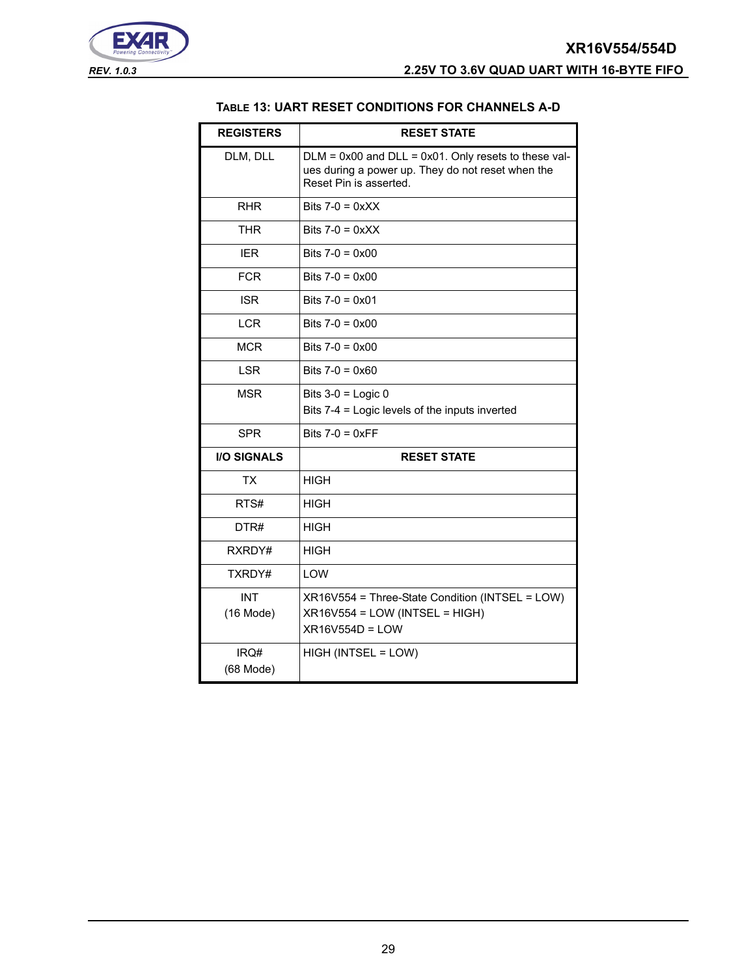<span id="page-28-0"></span>



#### **TABLE 13: UART RESET CONDITIONS FOR CHANNELS A-D**

| <b>REGISTERS</b>          | <b>RESET STATE</b>                                                                                                                       |
|---------------------------|------------------------------------------------------------------------------------------------------------------------------------------|
| DLM, DLL                  | $DLM = 0x00$ and $DLL = 0x01$ . Only resets to these val-<br>ues during a power up. They do not reset when the<br>Reset Pin is asserted. |
| <b>RHR</b>                | Bits $7-0 = 0 \times XX$                                                                                                                 |
| <b>THR</b>                | Bits $7-0 = 0 \times X$                                                                                                                  |
| <b>IER</b>                | Bits $7-0 = 0 \times 00$                                                                                                                 |
| <b>FCR</b>                | Bits $7-0 = 0 \times 00$                                                                                                                 |
| <b>ISR</b>                | Bits $7-0 = 0 \times 01$                                                                                                                 |
| <b>LCR</b>                | Bits $7-0 = 0 \times 00$                                                                                                                 |
| <b>MCR</b>                | Bits $7-0 = 0 \times 00$                                                                                                                 |
| <b>LSR</b>                | Bits $7-0 = 0 \times 60$                                                                                                                 |
| <b>MSR</b>                | Bits $3-0$ = Logic 0<br>Bits 7-4 = Logic levels of the inputs inverted                                                                   |
| <b>SPR</b>                | Bits $7-0 = 0 \times FF$                                                                                                                 |
| <b>I/O SIGNALS</b>        | <b>RESET STATE</b>                                                                                                                       |
| <b>TX</b>                 | <b>HIGH</b>                                                                                                                              |
| RTS#                      | HIGH                                                                                                                                     |
| DTR#                      | HIGH                                                                                                                                     |
| RXRDY#                    | <b>HIGH</b>                                                                                                                              |
| TXRDY#                    | <b>I OW</b>                                                                                                                              |
| <b>INT</b><br>$(16$ Mode) | $XR16V554 = Three-State Condition (INTSEL = LOW)$<br>XR16V554 = LOW (INTSEL = HIGH)<br>XR16V554D = LOW                                   |
| IRQ#<br>(68 Mode)         | HIGH (INTSEL = LOW)                                                                                                                      |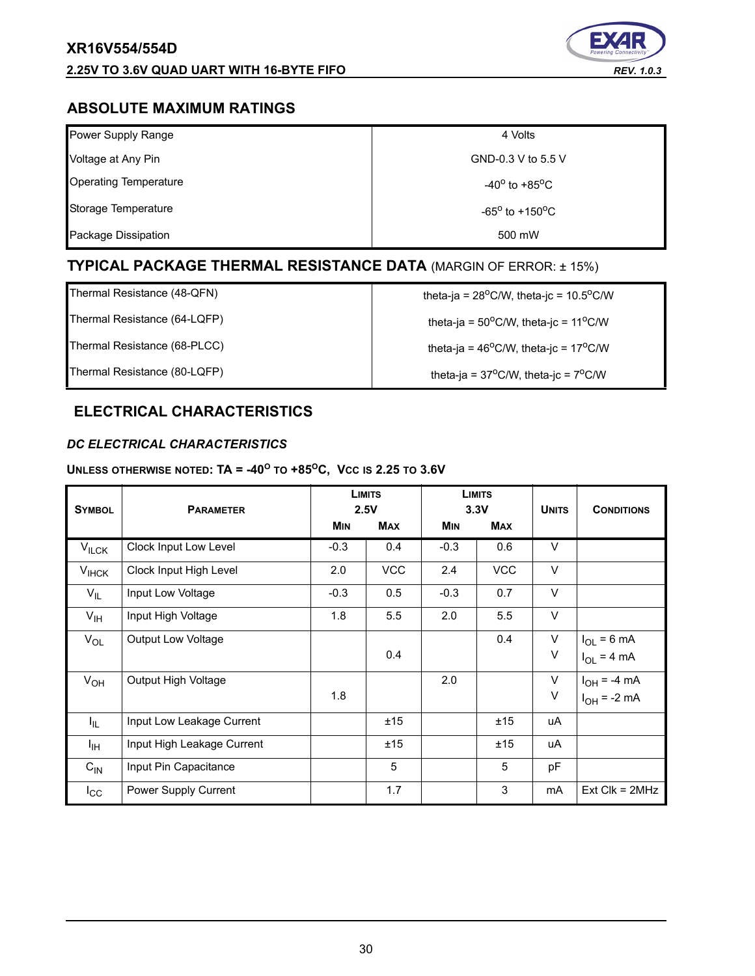

## **ABSOLUTE MAXIMUM RATINGS**

| Power Supply Range           | 4 Volts                           |
|------------------------------|-----------------------------------|
| Voltage at Any Pin           | GND-0.3 V to 5.5 V                |
| <b>Operating Temperature</b> | $-40^{\circ}$ to $+85^{\circ}$ C  |
| Storage Temperature          | $-65^{\circ}$ to $+150^{\circ}$ C |
| Package Dissipation          | 500 mW                            |

## **TYPICAL PACKAGE THERMAL RESISTANCE DATA** (MARGIN OF ERROR: ± 15%)

Thermal Resistance (48-QFN)  $\qquad \qquad$  theta-ja = 28<sup>o</sup>C/W, theta-jc = 10.5<sup>o</sup>C/W

Thermal Resistance (64-LQFP)  $\qquad \qquad$  theta-ja = 50<sup>o</sup>C/W, theta-jc = 11<sup>o</sup>C/W

Thermal Resistance (68-PLCC) theta-ja = 46<sup>o</sup>C/W, theta-jc = 17<sup>o</sup>C/W

Thermal Resistance (80-LQFP)  $\qquad \qquad$  theta-ja = 37<sup>o</sup>C/W, theta-jc = 7<sup>o</sup>C/W

## **ELECTRICAL CHARACTERISTICS**

## *DC ELECTRICAL CHARACTERISTICS*

#### **UNLESS OTHERWISE NOTED: TA = -40<sup>O</sup> TO +85OC, VCC IS 2.25 TO 3.6V**

| <b>SYMBOL</b>     | <b>PARAMETER</b>           |            | <b>LIMITS</b><br>2.5V |            | <b>LIMITS</b><br>3.3V | <b>UNITS</b> | <b>CONDITIONS</b>  |
|-------------------|----------------------------|------------|-----------------------|------------|-----------------------|--------------|--------------------|
|                   |                            | <b>MIN</b> | <b>MAX</b>            | <b>MIN</b> | <b>MAX</b>            |              |                    |
| $V_{\text{ILCK}}$ | Clock Input Low Level      | $-0.3$     | 0.4                   | $-0.3$     | 0.6                   | $\vee$       |                    |
| $V_{IHCK}$        | Clock Input High Level     | 2.0        | <b>VCC</b>            | 2.4        | <b>VCC</b>            | $\vee$       |                    |
| $V_{IL}$          | Input Low Voltage          | $-0.3$     | 0.5                   | $-0.3$     | 0.7                   | $\vee$       |                    |
| $V_{\text{IH}}$   | Input High Voltage         | 1.8        | 5.5                   | 2.0        | 5.5                   | $\vee$       |                    |
| $V_{OL}$          | <b>Output Low Voltage</b>  |            |                       |            | 0.4                   | $\vee$       | $I_{OL}$ = 6 mA    |
|                   |                            |            | 0.4                   |            |                       | V            | $I_{OL}$ = 4 mA    |
| $V_{OH}$          | Output High Voltage        |            |                       | 2.0        |                       | $\vee$       | $I_{OH} = -4 mA$   |
|                   |                            | 1.8        |                       |            |                       | V            | $I_{OH}$ = -2 mA   |
| I <sub>IL</sub>   | Input Low Leakage Current  |            | ±15                   |            | ±15                   | uA           |                    |
| ŀщ                | Input High Leakage Current |            | ±15                   |            | ±15                   | uA           |                    |
| $C_{IN}$          | Input Pin Capacitance      |            | 5                     |            | 5                     | pF           |                    |
| $I_{\rm CC}$      | Power Supply Current       |            | 1.7                   |            | 3                     | mA           | $Ext$ Clk = $2MHz$ |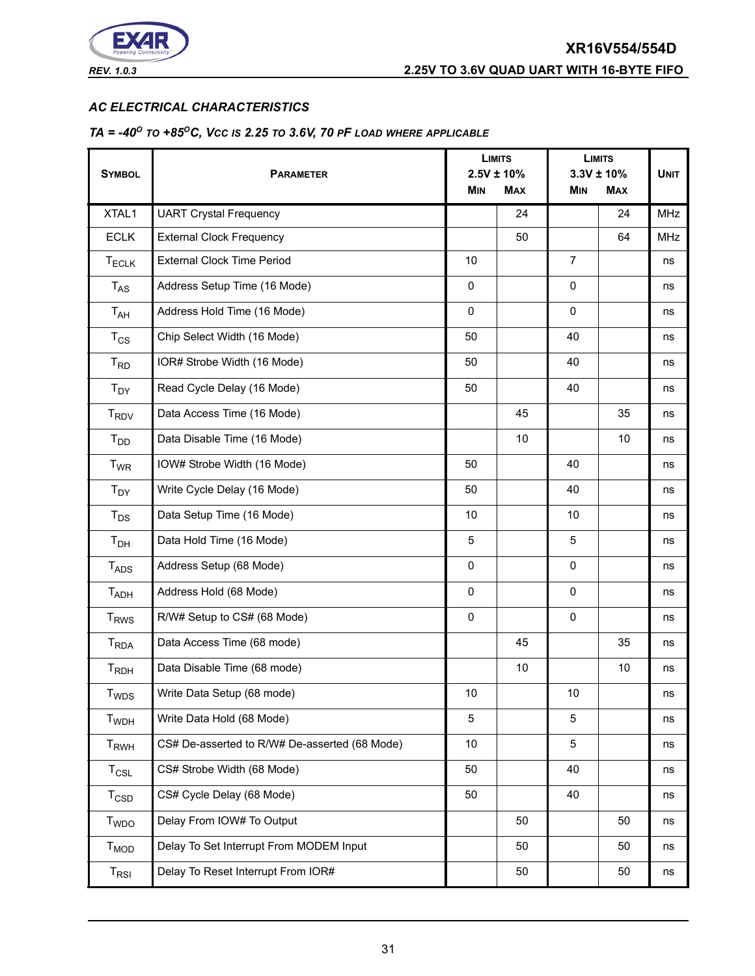

#### *AC ELECTRICAL CHARACTERISTICS*

## *TA = -40O TO +85OC, VCC IS 2.25 TO 3.6V, 70 PF LOAD WHERE APPLICABLE*

|                             | <b>PARAMETER</b>                              |             | <b>LIMITS</b>                 |                | <b>LIMITS</b>                |             |
|-----------------------------|-----------------------------------------------|-------------|-------------------------------|----------------|------------------------------|-------------|
| <b>SYMBOL</b>               |                                               |             | $2.5V \pm 10\%$<br><b>MAX</b> | <b>MIN</b>     | $3.3V \pm 10%$<br><b>MAX</b> | <b>UNIT</b> |
|                             |                                               | <b>MIN</b>  |                               |                |                              |             |
| XTAL1                       | <b>UART Crystal Frequency</b>                 |             | 24                            |                | 24                           | <b>MHz</b>  |
| <b>ECLK</b>                 | <b>External Clock Frequency</b>               |             | 50                            |                | 64                           | <b>MHz</b>  |
| <b>TECLK</b>                | <b>External Clock Time Period</b>             | 10          |                               | $\overline{7}$ |                              | ns          |
| $T_{AS}$                    | Address Setup Time (16 Mode)                  | $\mathbf 0$ |                               | $\mathbf 0$    |                              | ns          |
| $T_{AH}$                    | Address Hold Time (16 Mode)                   | $\mathbf 0$ |                               | $\mathbf 0$    |                              | ns          |
| $T_{CS}$                    | Chip Select Width (16 Mode)                   | 50          |                               | 40             |                              | ns          |
| $T_{RD}$                    | IOR# Strobe Width (16 Mode)                   | 50          |                               | 40             |                              | ns          |
| $T_{DY}$                    | Read Cycle Delay (16 Mode)                    | 50          |                               | 40             |                              | ns          |
| <b>T<sub>RDV</sub></b>      | Data Access Time (16 Mode)                    |             | 45                            |                | 35                           | ns          |
| $T_{DD}$                    | Data Disable Time (16 Mode)                   |             | 10                            |                | 10                           | ns          |
| $T_{WR}$                    | IOW# Strobe Width (16 Mode)                   | 50          |                               | 40             |                              | ns          |
| $T_{DY}$                    | Write Cycle Delay (16 Mode)                   | 50          |                               | 40             |                              | ns          |
| $T_{DS}$                    | Data Setup Time (16 Mode)                     | 10          |                               | 10             |                              | ns          |
| T <sub>DH</sub>             | Data Hold Time (16 Mode)                      | 5           |                               | 5              |                              | ns          |
| <b>TADS</b>                 | Address Setup (68 Mode)                       | $\mathbf 0$ |                               | 0              |                              | ns          |
| <b>TADH</b>                 | Address Hold (68 Mode)                        | $\mathbf 0$ |                               |                |                              | ns          |
| <b>T<sub>RWS</sub></b>      | R/W# Setup to CS# (68 Mode)                   | $\mathbf 0$ |                               | 0              |                              | ns          |
| <b>T</b> <sub>RDA</sub>     | Data Access Time (68 mode)                    |             | 45                            |                | 35                           | ns          |
| $T_{RDH}$                   | Data Disable Time (68 mode)                   |             | 10                            |                | 10                           | ns          |
| T <sub>WDS</sub>            | Write Data Setup (68 mode)                    | 10          |                               | 10             |                              | ns          |
| <b>T</b> <sub>WDH</sub>     | Write Data Hold (68 Mode)                     | 5           |                               | 5              |                              | ns          |
| <b>T</b> <sub>RWH</sub>     | CS# De-asserted to R/W# De-asserted (68 Mode) | $10$        |                               | 5              |                              | ns          |
| $T_{CSL}$                   | CS# Strobe Width (68 Mode)                    | 50          |                               | 40             |                              | ns          |
| $T_{\texttt{CSD}}$          | CS# Cycle Delay (68 Mode)                     | 50          |                               | 40             |                              | ns          |
| T <sub>WDO</sub>            | Delay From IOW# To Output                     |             | 50                            |                | 50                           | ns          |
| T <sub>MOD</sub>            | Delay To Set Interrupt From MODEM Input       |             | 50                            |                | 50                           | ns          |
| $\mathsf{T}_{\mathsf{RSI}}$ | Delay To Reset Interrupt From IOR#            |             | 50                            |                | 50                           | ns          |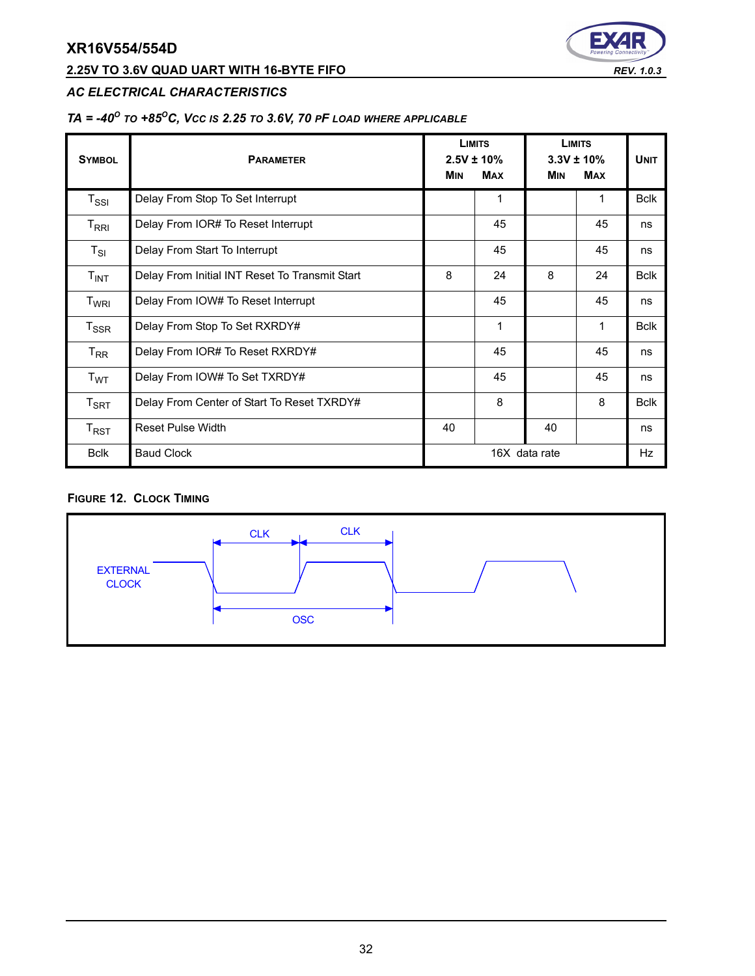## **2.25V TO 3.6V QUAD UART WITH 16-BYTE FIFO** *REV. 1.0.3*



### *AC ELECTRICAL CHARACTERISTICS*

## *TA = -40O TO +85OC, VCC IS 2.25 TO 3.6V, 70 PF LOAD WHERE APPLICABLE*

| <b>SYMBOL</b>                                 | <b>PARAMETER</b>                               | <b>MIN</b>    | <b>LIMITS</b><br>$2.5V \pm 10\%$<br><b>MAX</b> | <b>MIN</b> | <b>LIMITS</b><br>$3.3V \pm 10\%$<br><b>MAX</b> | <b>UNIT</b> |
|-----------------------------------------------|------------------------------------------------|---------------|------------------------------------------------|------------|------------------------------------------------|-------------|
| $T_{\rm SSI}$                                 | Delay From Stop To Set Interrupt               |               | 1                                              |            | 1                                              | <b>Bclk</b> |
| $\mathsf{T}_{\mathsf{R}\mathsf{R}\mathsf{I}}$ | Delay From IOR# To Reset Interrupt             |               | 45                                             |            | 45                                             | ns          |
| $T_{SI}$                                      | Delay From Start To Interrupt                  |               | 45                                             |            | 45                                             | ns          |
| T <sub>INT</sub>                              | Delay From Initial INT Reset To Transmit Start | 8             | 24                                             | 8          | 24                                             | <b>Bclk</b> |
| T <sub>WRI</sub>                              | Delay From IOW# To Reset Interrupt             |               | 45                                             |            | 45                                             | ns          |
| $T_{SSR}$                                     | Delay From Stop To Set RXRDY#                  | 1<br>1        |                                                |            |                                                | <b>Bclk</b> |
| $T_{RR}$                                      | Delay From IOR# To Reset RXRDY#                | 45<br>45      |                                                |            |                                                | ns          |
| T <sub>WT</sub>                               | Delay From IOW# To Set TXRDY#                  |               | 45                                             |            | 45                                             | ns          |
| $\mathsf{T}_{\mathsf{SRT}}$                   | Delay From Center of Start To Reset TXRDY#     |               | 8                                              |            | 8                                              | <b>Bclk</b> |
| $\mathsf{T}_{\mathsf{RST}}$                   | <b>Reset Pulse Width</b>                       | 40            |                                                | 40         |                                                | ns          |
| <b>Bclk</b>                                   | <b>Baud Clock</b>                              | 16X data rate |                                                |            | Hz                                             |             |

#### **FIGURE 12. CLOCK TIMING**

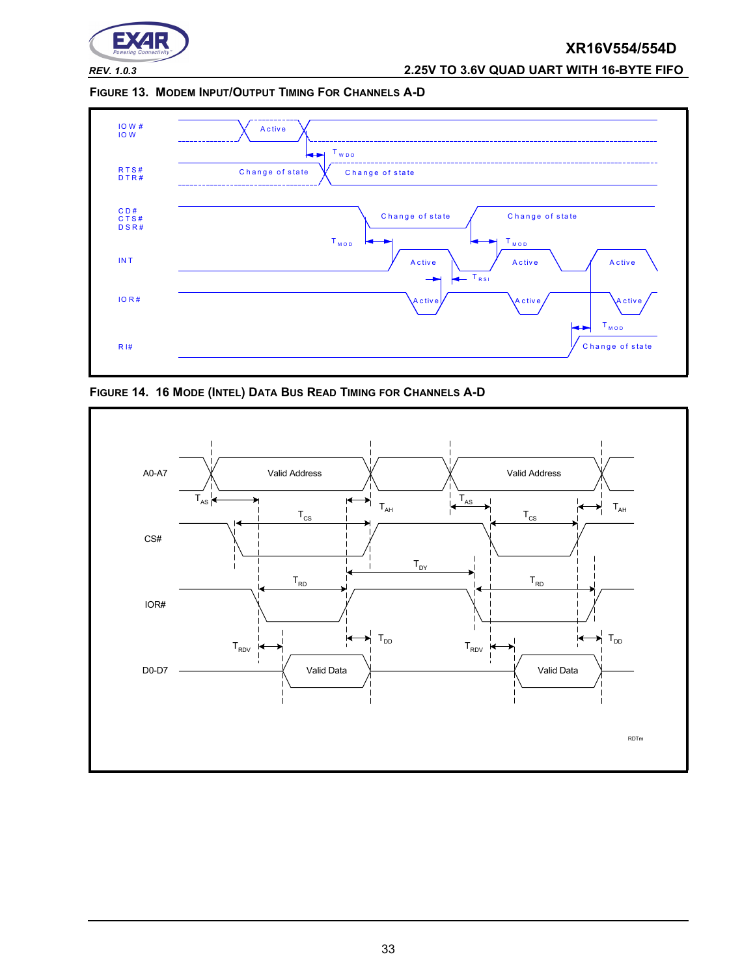

*REV. 1.0.3* **2.25V TO 3.6V QUAD UART WITH 16-BYTE FIFO**

**FIGURE 13. MODEM INPUT/OUTPUT TIMING FOR CHANNELS A-D**



**FIGURE 14. 16 MODE (INTEL) DATA BUS READ TIMING FOR CHANNELS A-D**

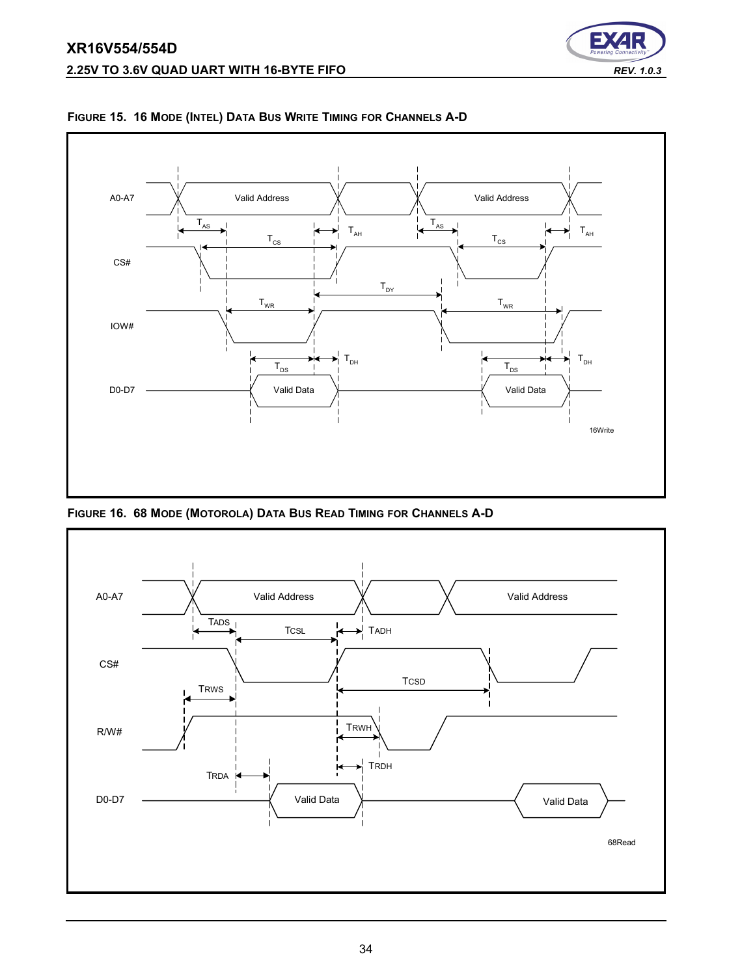



**FIGURE 15. 16 MODE (INTEL) DATA BUS WRITE TIMING FOR CHANNELS A-D**

**FIGURE 16. 68 MODE (MOTOROLA) DATA BUS READ TIMING FOR CHANNELS A-D**

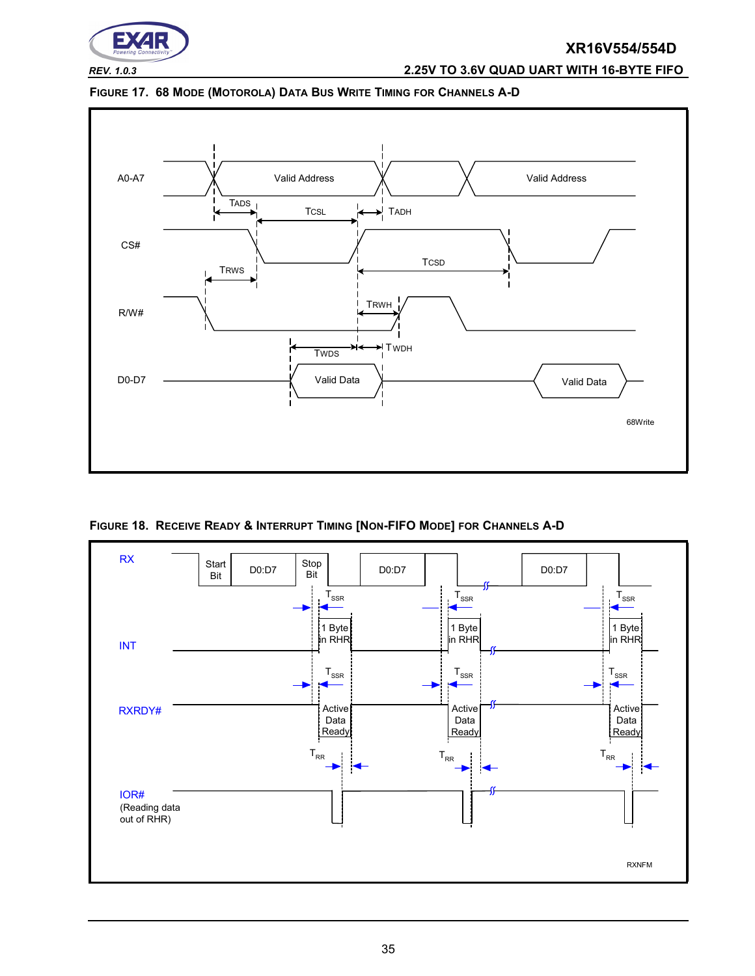

## *REV. 1.0.3* **2.25V TO 3.6V QUAD UART WITH 16-BYTE FIFO**





<span id="page-34-0"></span>**FIGURE 18. RECEIVE READY & INTERRUPT TIMING [NON-FIFO MODE] FOR CHANNELS A-D**

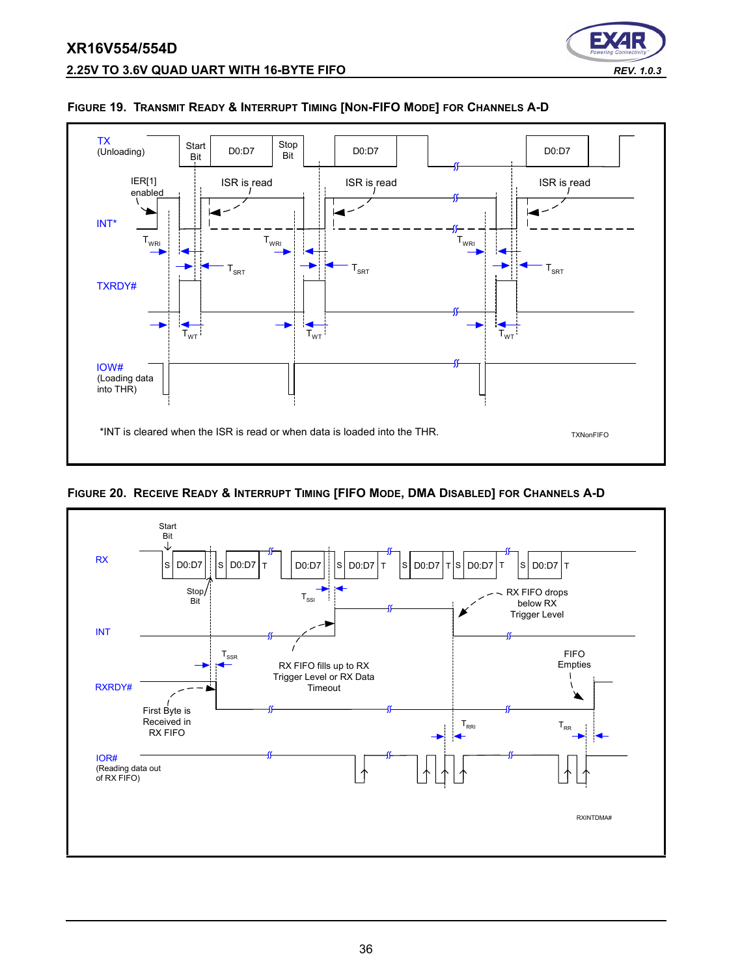

#### **FIGURE 19. TRANSMIT READY & INTERRUPT TIMING [NON-FIFO MODE] FOR CHANNELS A-D**

**FIGURE 20. RECEIVE READY & INTERRUPT TIMING [FIFO MODE, DMA DISABLED] FOR CHANNELS A-D**



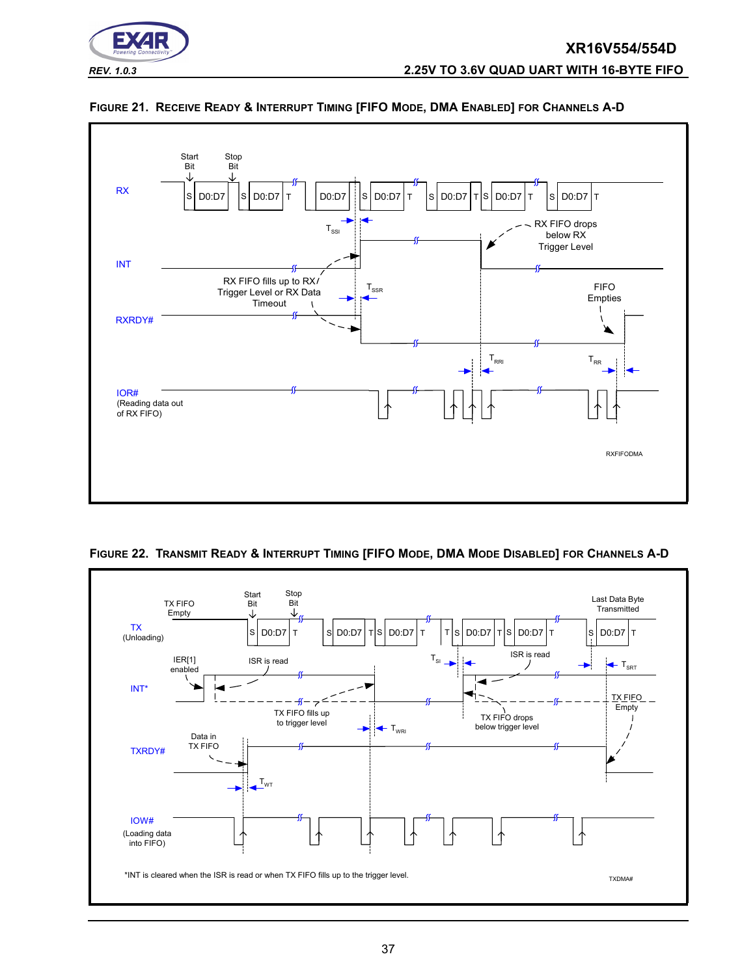



#### **FIGURE 21. RECEIVE READY & INTERRUPT TIMING [FIFO MODE, DMA ENABLED] FOR CHANNELS A-D**



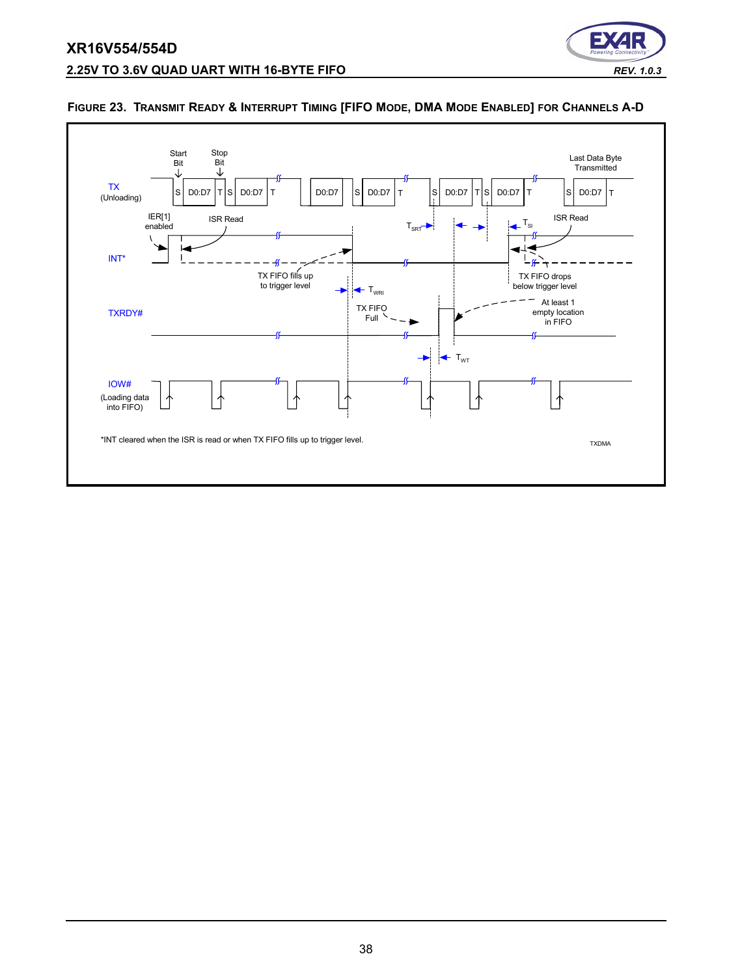## **XR16V554/554D 2.25V TO 3.6V QUAD UART WITH 16-BYTE FIFO** *REV. 1.0.3*





#### <span id="page-37-0"></span>**FIGURE 23. TRANSMIT READY & INTERRUPT TIMING [FIFO MODE, DMA MODE ENABLED] FOR CHANNELS A-D**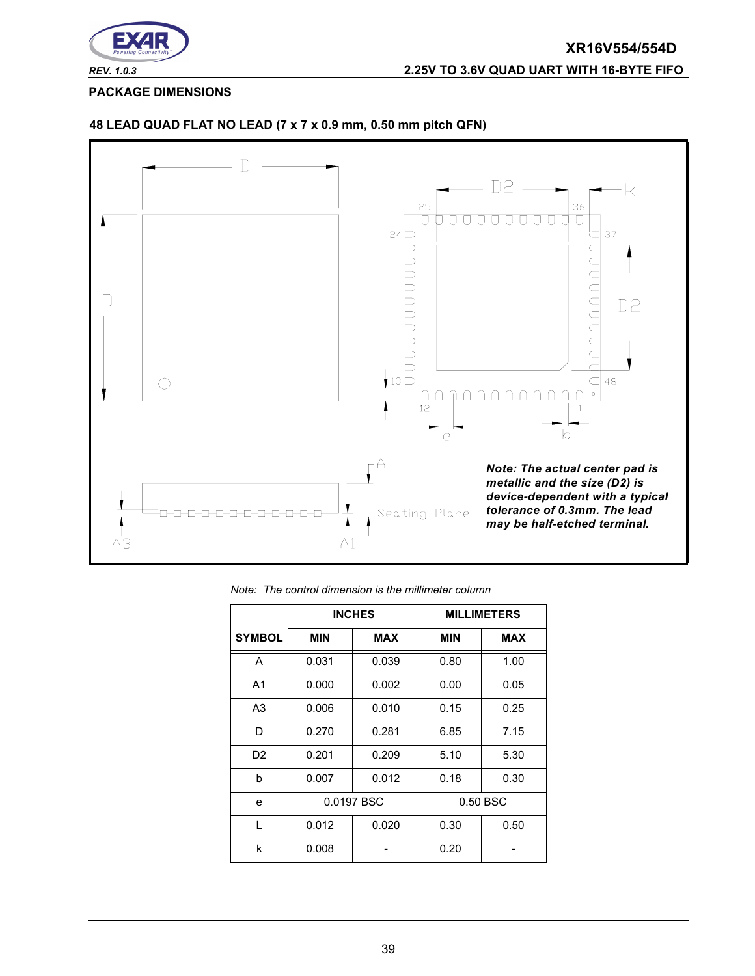

**PACKAGE DIMENSIONS**



#### **48 LEAD QUAD FLAT NO LEAD (7 x 7 x 0.9 mm, 0.50 mm pitch QFN)**

|  | Note: The control dimension is the millimeter column |  |  |
|--|------------------------------------------------------|--|--|
|  |                                                      |  |  |

|                |            | <b>INCHES</b> |            | <b>MILLIMETERS</b> |
|----------------|------------|---------------|------------|--------------------|
| <b>SYMBOL</b>  | <b>MIN</b> | <b>MAX</b>    | <b>MIN</b> | <b>MAX</b>         |
| A              | 0.031      | 0.039         | 0.80       | 1.00               |
| A <sub>1</sub> | 0.000      | 0.002         | 0.00       | 0.05               |
| A3             | 0.006      | 0.010         | 0.15       | 0.25               |
| D              | 0.270      | 0.281         | 6.85       | 7.15               |
| D <sub>2</sub> | 0.201      | 0.209         | 5.10       | 5.30               |
| b              | 0.007      | 0.012         | 0.18       | 0.30               |
| e              | 0.0197 BSC |               |            | 0.50 BSC           |
| L              | 0.012      | 0.020         | 0.30       | 0.50               |
| k              | 0.008      |               | 0.20       |                    |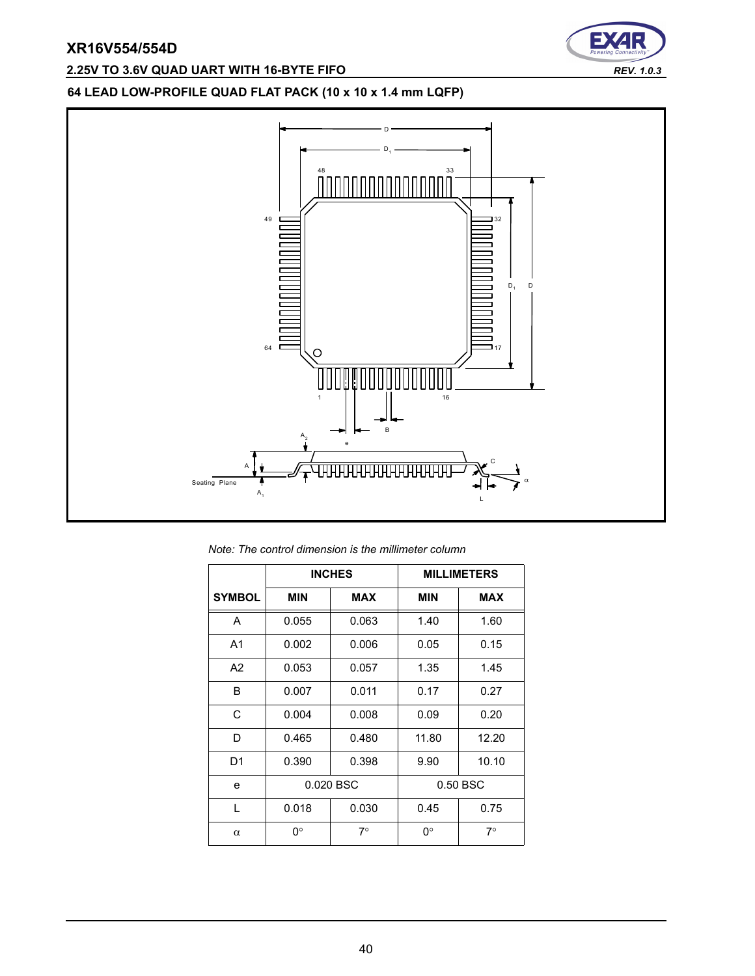## **2.25V TO 3.6V QUAD UART WITH 16-BYTE FIFO** *REV. 1.0.3*



## **64 LEAD LOW-PROFILE QUAD FLAT PACK (10 x 10 x 1.4 mm LQFP)**



*Note: The control dimension is the millimeter column*

|                |            | <b>INCHES</b> |            | <b>MILLIMETERS</b> |
|----------------|------------|---------------|------------|--------------------|
| <b>SYMBOL</b>  | <b>MIN</b> | <b>MAX</b>    | <b>MIN</b> | <b>MAX</b>         |
| A              | 0.055      | 0.063         | 1.40       | 1.60               |
| A <sub>1</sub> | 0.002      | 0.006         | 0.05       | 0.15               |
| A <sub>2</sub> | 0.053      | 0.057         | 1.35       | 1.45               |
| B              | 0.007      | 0.011         | 0.17       | 0.27               |
| C              | 0.004      | 0.008         | 0.09       | 0.20               |
| D              | 0.465      | 0.480         | 11.80      | 12.20              |
| D1             | 0.390      | 0.398         | 9.90       | 10.10              |
| e              | 0.020 BSC  |               |            | 0.50 BSC           |
| L              | 0.018      | 0.030         | 0.45       | 0.75               |
| $\alpha$       | 0°         | $7^{\circ}$   | 0°         | 7∘                 |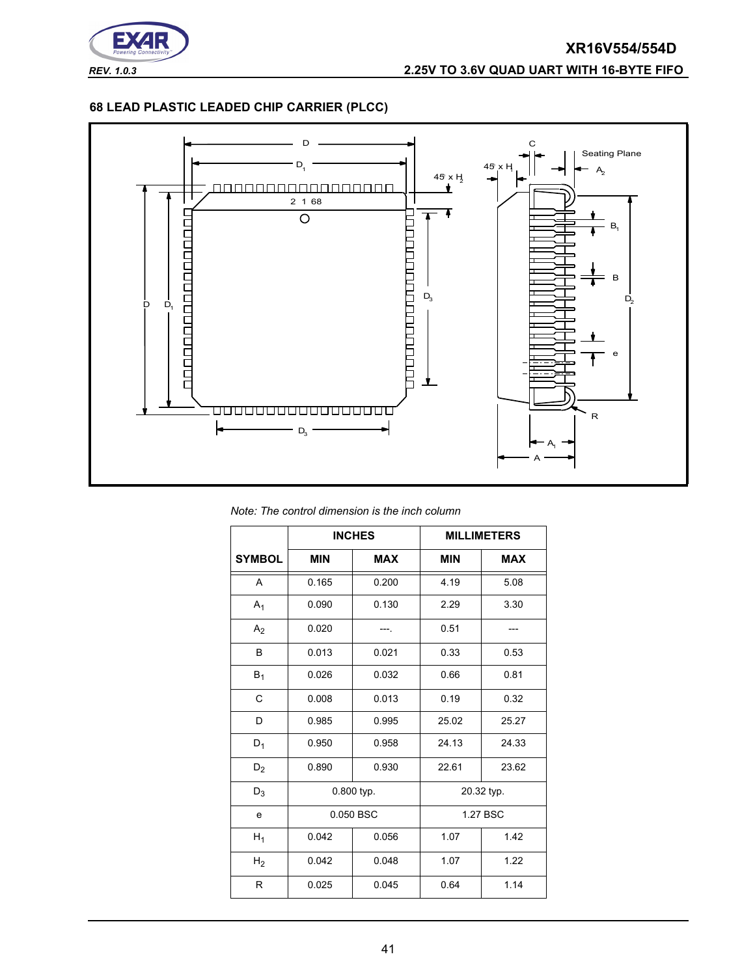

#### **68 LEAD PLASTIC LEADED CHIP CARRIER (PLCC)**



*Note: The control dimension is the inch column*

|                | <b>INCHES</b> |            |            | <b>MILLIMETERS</b> |
|----------------|---------------|------------|------------|--------------------|
| <b>SYMBOL</b>  | <b>MIN</b>    | <b>MAX</b> | <b>MIN</b> | <b>MAX</b>         |
| A              | 0.165         | 0.200      | 4.19       | 5.08               |
| $A_1$          | 0.090         | 0.130      | 2.29       | 3.30               |
| A <sub>2</sub> | 0.020         |            | 0.51       |                    |
| B              | 0.013         | 0.021      | 0.33       | 0.53               |
| $B_1$          | 0.026         | 0.032      | 0.66       | 0.81               |
| $\mathsf{C}$   | 0.008         | 0.013      | 0.19       | 0.32               |
| D              | 0.985         | 0.995      | 25.02      | 25.27              |
| $D_1$          | 0.950         | 0.958      | 24.13      | 24.33              |
| $D_2$          | 0.890         | 0.930      | 22.61      | 23.62              |
| $D_3$          | 0.800 typ.    |            |            | 20.32 typ.         |
| e              | 0.050 BSC     |            |            | 1.27 BSC           |
| $H_1$          | 0.042         | 0.056      | 1.07       | 1.42               |
| H <sub>2</sub> | 0.042         | 0.048      | 1.07       | 1.22               |
| R              | 0.025         | 0.045      | 0.64       | 1.14               |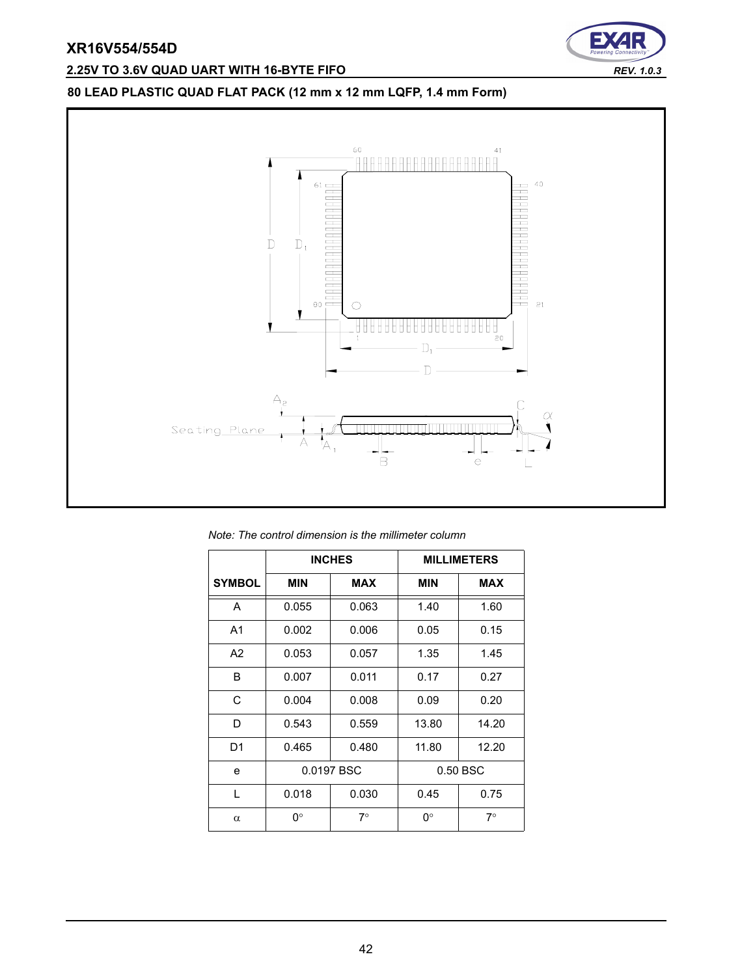## **2.25V TO 3.6V QUAD UART WITH 16-BYTE FIFO** *REV. 1.0.3*



## **80 LEAD PLASTIC QUAD FLAT PACK (12 mm x 12 mm LQFP, 1.4 mm Form)**



| Note: The control dimension is the millimeter column |  |  |  |
|------------------------------------------------------|--|--|--|
|------------------------------------------------------|--|--|--|

|                |                          | <b>INCHES</b> |            | <b>MILLIMETERS</b> |
|----------------|--------------------------|---------------|------------|--------------------|
| <b>SYMBOL</b>  | <b>MIN</b><br><b>MAX</b> |               | <b>MIN</b> | <b>MAX</b>         |
| A              | 0.055                    | 0.063         | 1.40       | 1.60               |
| A <sub>1</sub> | 0.002                    | 0.006         | 0.05       | 0.15               |
| A <sub>2</sub> | 0.053                    | 0.057         | 1.35       | 1.45               |
| B              | 0.007                    | 0.011         | 0.17       | 0.27               |
| C              | 0.004                    | 0.008         | 0.09       | 0.20               |
| D              | 0.543                    | 0.559         | 13.80      | 14.20              |
| D <sub>1</sub> | 0.465                    | 0.480         | 11.80      | 12.20              |
| e              | 0.0197 BSC               |               |            | 0.50 BSC           |
| L              | 0.018                    | 0.030         | 0.45       | 0.75               |
| α              | 0°                       | $7^\circ$     | 0°         | $7^\circ$          |